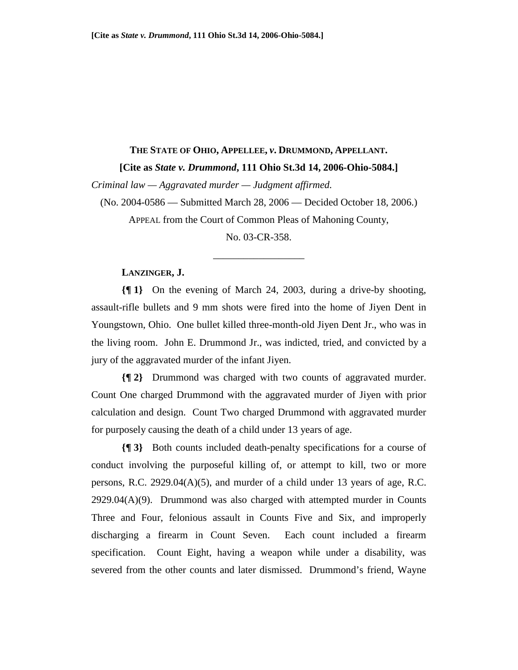#### **THE STATE OF OHIO, APPELLEE,** *v***. DRUMMOND, APPELLANT.**

#### **[Cite as** *State v. Drummond***, 111 Ohio St.3d 14, 2006-Ohio-5084.]**

*Criminal law — Aggravated murder — Judgment affirmed.* 

(No. 2004-0586 — Submitted March 28, 2006 — Decided October 18, 2006.)

APPEAL from the Court of Common Pleas of Mahoning County,

No. 03-CR-358.

\_\_\_\_\_\_\_\_\_\_\_\_\_\_\_\_\_\_

#### **LANZINGER, J.**

**{¶ 1}** On the evening of March 24, 2003, during a drive-by shooting, assault-rifle bullets and 9 mm shots were fired into the home of Jiyen Dent in Youngstown, Ohio. One bullet killed three-month-old Jiyen Dent Jr., who was in the living room. John E. Drummond Jr., was indicted, tried, and convicted by a jury of the aggravated murder of the infant Jiyen.

**{¶ 2}** Drummond was charged with two counts of aggravated murder. Count One charged Drummond with the aggravated murder of Jiyen with prior calculation and design. Count Two charged Drummond with aggravated murder for purposely causing the death of a child under 13 years of age.

**{¶ 3}** Both counts included death-penalty specifications for a course of conduct involving the purposeful killing of, or attempt to kill, two or more persons, R.C.  $2929.04(A)(5)$ , and murder of a child under 13 years of age, R.C.  $2929.04(A)(9)$ . Drummond was also charged with attempted murder in Counts Three and Four, felonious assault in Counts Five and Six, and improperly discharging a firearm in Count Seven. Each count included a firearm specification. Count Eight, having a weapon while under a disability, was severed from the other counts and later dismissed. Drummond's friend, Wayne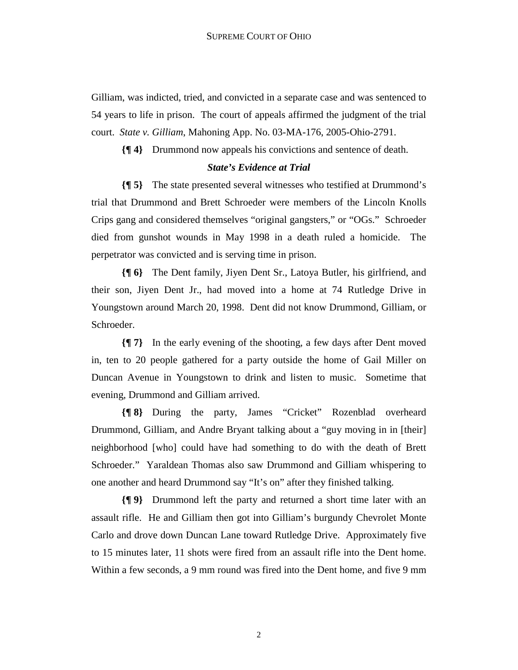Gilliam, was indicted, tried, and convicted in a separate case and was sentenced to 54 years to life in prison. The court of appeals affirmed the judgment of the trial court. *State v. Gilliam*, Mahoning App. No. 03-MA-176, 2005-Ohio-2791.

**{¶ 4}** Drummond now appeals his convictions and sentence of death.

## *State's Evidence at Trial*

**{¶ 5}** The state presented several witnesses who testified at Drummond's trial that Drummond and Brett Schroeder were members of the Lincoln Knolls Crips gang and considered themselves "original gangsters," or "OGs." Schroeder died from gunshot wounds in May 1998 in a death ruled a homicide. The perpetrator was convicted and is serving time in prison.

**{¶ 6}** The Dent family, Jiyen Dent Sr., Latoya Butler, his girlfriend, and their son, Jiyen Dent Jr., had moved into a home at 74 Rutledge Drive in Youngstown around March 20, 1998. Dent did not know Drummond, Gilliam, or Schroeder.

**{¶ 7}** In the early evening of the shooting, a few days after Dent moved in, ten to 20 people gathered for a party outside the home of Gail Miller on Duncan Avenue in Youngstown to drink and listen to music. Sometime that evening, Drummond and Gilliam arrived.

**{¶ 8}** During the party, James "Cricket" Rozenblad overheard Drummond, Gilliam, and Andre Bryant talking about a "guy moving in in [their] neighborhood [who] could have had something to do with the death of Brett Schroeder." Yaraldean Thomas also saw Drummond and Gilliam whispering to one another and heard Drummond say "It's on" after they finished talking.

**{¶ 9}** Drummond left the party and returned a short time later with an assault rifle. He and Gilliam then got into Gilliam's burgundy Chevrolet Monte Carlo and drove down Duncan Lane toward Rutledge Drive. Approximately five to 15 minutes later, 11 shots were fired from an assault rifle into the Dent home. Within a few seconds, a 9 mm round was fired into the Dent home, and five 9 mm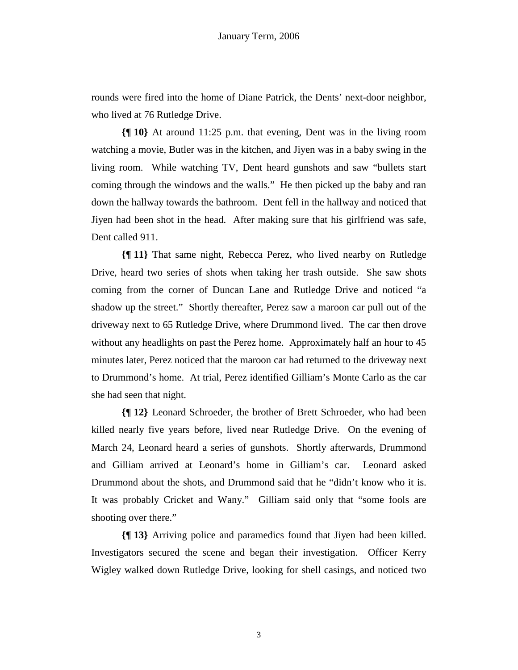rounds were fired into the home of Diane Patrick, the Dents' next-door neighbor, who lived at 76 Rutledge Drive.

**{¶ 10}** At around 11:25 p.m. that evening, Dent was in the living room watching a movie, Butler was in the kitchen, and Jiyen was in a baby swing in the living room. While watching TV, Dent heard gunshots and saw "bullets start coming through the windows and the walls." He then picked up the baby and ran down the hallway towards the bathroom. Dent fell in the hallway and noticed that Jiyen had been shot in the head. After making sure that his girlfriend was safe, Dent called 911.

**{¶ 11}** That same night, Rebecca Perez, who lived nearby on Rutledge Drive, heard two series of shots when taking her trash outside. She saw shots coming from the corner of Duncan Lane and Rutledge Drive and noticed "a shadow up the street." Shortly thereafter, Perez saw a maroon car pull out of the driveway next to 65 Rutledge Drive, where Drummond lived. The car then drove without any headlights on past the Perez home. Approximately half an hour to 45 minutes later, Perez noticed that the maroon car had returned to the driveway next to Drummond's home. At trial, Perez identified Gilliam's Monte Carlo as the car she had seen that night.

**{¶ 12}** Leonard Schroeder, the brother of Brett Schroeder, who had been killed nearly five years before, lived near Rutledge Drive. On the evening of March 24, Leonard heard a series of gunshots. Shortly afterwards, Drummond and Gilliam arrived at Leonard's home in Gilliam's car. Leonard asked Drummond about the shots, and Drummond said that he "didn't know who it is. It was probably Cricket and Wany." Gilliam said only that "some fools are shooting over there."

**{¶ 13}** Arriving police and paramedics found that Jiyen had been killed. Investigators secured the scene and began their investigation. Officer Kerry Wigley walked down Rutledge Drive, looking for shell casings, and noticed two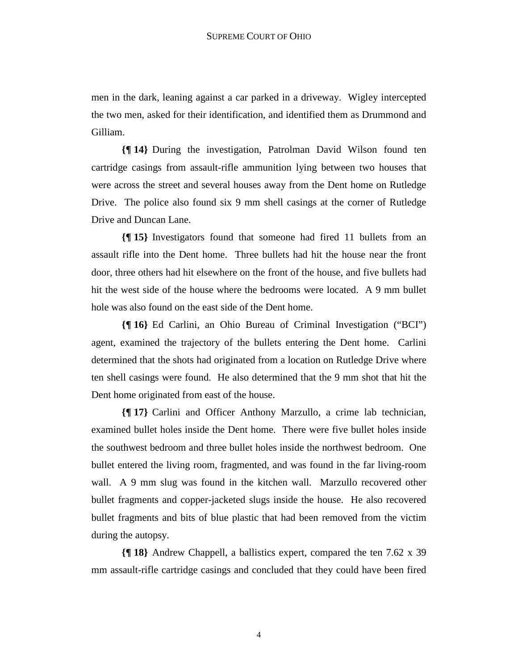men in the dark, leaning against a car parked in a driveway. Wigley intercepted the two men, asked for their identification, and identified them as Drummond and Gilliam.

**{¶ 14}** During the investigation, Patrolman David Wilson found ten cartridge casings from assault-rifle ammunition lying between two houses that were across the street and several houses away from the Dent home on Rutledge Drive. The police also found six 9 mm shell casings at the corner of Rutledge Drive and Duncan Lane.

**{¶ 15}** Investigators found that someone had fired 11 bullets from an assault rifle into the Dent home. Three bullets had hit the house near the front door, three others had hit elsewhere on the front of the house, and five bullets had hit the west side of the house where the bedrooms were located. A 9 mm bullet hole was also found on the east side of the Dent home.

**{¶ 16}** Ed Carlini, an Ohio Bureau of Criminal Investigation ("BCI") agent, examined the trajectory of the bullets entering the Dent home. Carlini determined that the shots had originated from a location on Rutledge Drive where ten shell casings were found. He also determined that the 9 mm shot that hit the Dent home originated from east of the house.

**{¶ 17}** Carlini and Officer Anthony Marzullo, a crime lab technician, examined bullet holes inside the Dent home. There were five bullet holes inside the southwest bedroom and three bullet holes inside the northwest bedroom. One bullet entered the living room, fragmented, and was found in the far living-room wall. A 9 mm slug was found in the kitchen wall. Marzullo recovered other bullet fragments and copper-jacketed slugs inside the house. He also recovered bullet fragments and bits of blue plastic that had been removed from the victim during the autopsy.

**{¶ 18}** Andrew Chappell, a ballistics expert, compared the ten 7.62 x 39 mm assault-rifle cartridge casings and concluded that they could have been fired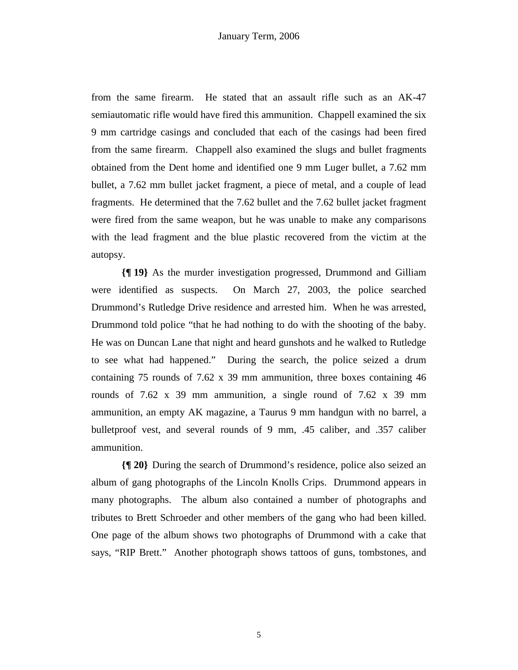from the same firearm. He stated that an assault rifle such as an AK-47 semiautomatic rifle would have fired this ammunition. Chappell examined the six 9 mm cartridge casings and concluded that each of the casings had been fired from the same firearm. Chappell also examined the slugs and bullet fragments obtained from the Dent home and identified one 9 mm Luger bullet, a 7.62 mm bullet, a 7.62 mm bullet jacket fragment, a piece of metal, and a couple of lead fragments. He determined that the 7.62 bullet and the 7.62 bullet jacket fragment were fired from the same weapon, but he was unable to make any comparisons with the lead fragment and the blue plastic recovered from the victim at the autopsy.

**{¶ 19}** As the murder investigation progressed, Drummond and Gilliam were identified as suspects. On March 27, 2003, the police searched Drummond's Rutledge Drive residence and arrested him. When he was arrested, Drummond told police "that he had nothing to do with the shooting of the baby. He was on Duncan Lane that night and heard gunshots and he walked to Rutledge to see what had happened." During the search, the police seized a drum containing 75 rounds of 7.62 x 39 mm ammunition, three boxes containing 46 rounds of  $7.62 \times 39$  mm ammunition, a single round of  $7.62 \times 39$  mm ammunition, an empty AK magazine, a Taurus 9 mm handgun with no barrel, a bulletproof vest, and several rounds of 9 mm, .45 caliber, and .357 caliber ammunition.

**{¶ 20}** During the search of Drummond's residence, police also seized an album of gang photographs of the Lincoln Knolls Crips. Drummond appears in many photographs. The album also contained a number of photographs and tributes to Brett Schroeder and other members of the gang who had been killed. One page of the album shows two photographs of Drummond with a cake that says, "RIP Brett." Another photograph shows tattoos of guns, tombstones, and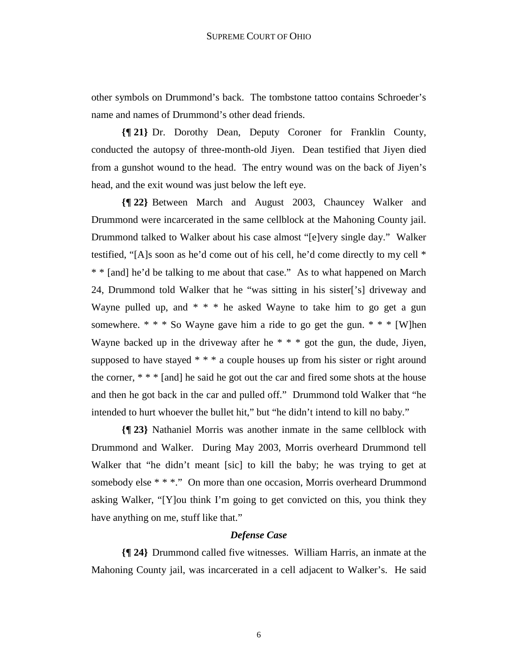other symbols on Drummond's back. The tombstone tattoo contains Schroeder's name and names of Drummond's other dead friends.

**{¶ 21}** Dr. Dorothy Dean, Deputy Coroner for Franklin County, conducted the autopsy of three-month-old Jiyen. Dean testified that Jiyen died from a gunshot wound to the head. The entry wound was on the back of Jiyen's head, and the exit wound was just below the left eye.

**{¶ 22}** Between March and August 2003, Chauncey Walker and Drummond were incarcerated in the same cellblock at the Mahoning County jail. Drummond talked to Walker about his case almost "[e]very single day." Walker testified, "[A]s soon as he'd come out of his cell, he'd come directly to my cell \* \* \* [and] he'd be talking to me about that case." As to what happened on March 24, Drummond told Walker that he "was sitting in his sister['s] driveway and Wayne pulled up, and  $* * *$  he asked Wayne to take him to go get a gun somewhere.  $* * *$  So Wayne gave him a ride to go get the gun.  $* * * [W]$ hen Wayne backed up in the driveway after he  $* * *$  got the gun, the dude, Jiyen, supposed to have stayed  $***$  a couple houses up from his sister or right around the corner, \* \* \* [and] he said he got out the car and fired some shots at the house and then he got back in the car and pulled off." Drummond told Walker that "he intended to hurt whoever the bullet hit," but "he didn't intend to kill no baby."

**{¶ 23}** Nathaniel Morris was another inmate in the same cellblock with Drummond and Walker. During May 2003, Morris overheard Drummond tell Walker that "he didn't meant [sic] to kill the baby; he was trying to get at somebody else \* \* \*." On more than one occasion, Morris overheard Drummond asking Walker, "[Y]ou think I'm going to get convicted on this, you think they have anything on me, stuff like that."

### *Defense Case*

**{¶ 24}** Drummond called five witnesses. William Harris, an inmate at the Mahoning County jail, was incarcerated in a cell adjacent to Walker's. He said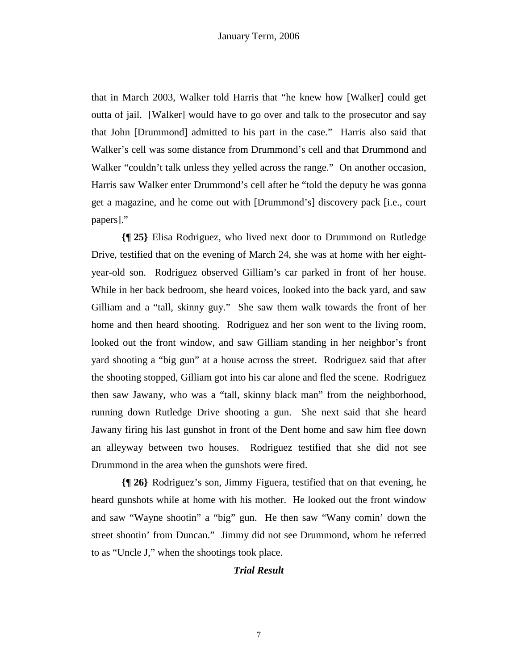that in March 2003, Walker told Harris that "he knew how [Walker] could get outta of jail. [Walker] would have to go over and talk to the prosecutor and say that John [Drummond] admitted to his part in the case." Harris also said that Walker's cell was some distance from Drummond's cell and that Drummond and Walker "couldn't talk unless they yelled across the range." On another occasion, Harris saw Walker enter Drummond's cell after he "told the deputy he was gonna get a magazine, and he come out with [Drummond's] discovery pack [i.e., court papers]."

**{¶ 25}** Elisa Rodriguez, who lived next door to Drummond on Rutledge Drive, testified that on the evening of March 24, she was at home with her eightyear-old son. Rodriguez observed Gilliam's car parked in front of her house. While in her back bedroom, she heard voices, looked into the back yard, and saw Gilliam and a "tall, skinny guy." She saw them walk towards the front of her home and then heard shooting. Rodriguez and her son went to the living room, looked out the front window, and saw Gilliam standing in her neighbor's front yard shooting a "big gun" at a house across the street. Rodriguez said that after the shooting stopped, Gilliam got into his car alone and fled the scene. Rodriguez then saw Jawany, who was a "tall, skinny black man" from the neighborhood, running down Rutledge Drive shooting a gun. She next said that she heard Jawany firing his last gunshot in front of the Dent home and saw him flee down an alleyway between two houses. Rodriguez testified that she did not see Drummond in the area when the gunshots were fired.

**{¶ 26}** Rodriguez's son, Jimmy Figuera, testified that on that evening, he heard gunshots while at home with his mother. He looked out the front window and saw "Wayne shootin" a "big" gun. He then saw "Wany comin' down the street shootin' from Duncan." Jimmy did not see Drummond, whom he referred to as "Uncle J," when the shootings took place.

### *Trial Result*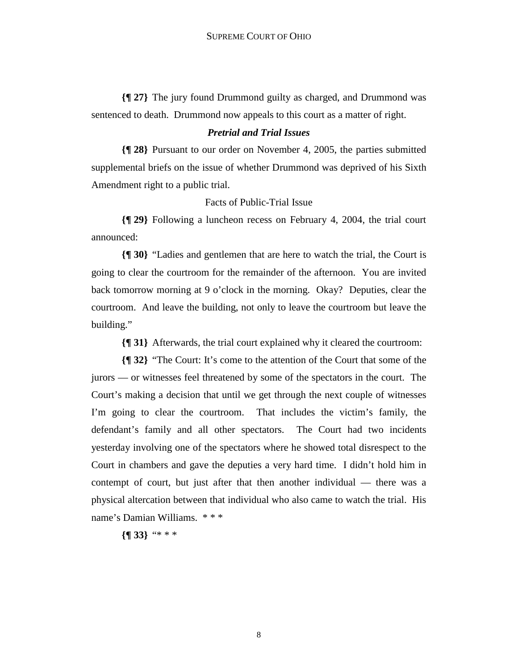**{¶ 27}** The jury found Drummond guilty as charged, and Drummond was sentenced to death. Drummond now appeals to this court as a matter of right.

### *Pretrial and Trial Issues*

**{¶ 28}** Pursuant to our order on November 4, 2005, the parties submitted supplemental briefs on the issue of whether Drummond was deprived of his Sixth Amendment right to a public trial.

Facts of Public-Trial Issue

**{¶ 29}** Following a luncheon recess on February 4, 2004, the trial court announced:

**{¶ 30}** "Ladies and gentlemen that are here to watch the trial, the Court is going to clear the courtroom for the remainder of the afternoon. You are invited back tomorrow morning at 9 o'clock in the morning. Okay? Deputies, clear the courtroom. And leave the building, not only to leave the courtroom but leave the building."

**{¶ 31}** Afterwards, the trial court explained why it cleared the courtroom:

**{¶ 32}** "The Court: It's come to the attention of the Court that some of the jurors — or witnesses feel threatened by some of the spectators in the court. The Court's making a decision that until we get through the next couple of witnesses I'm going to clear the courtroom. That includes the victim's family, the defendant's family and all other spectators. The Court had two incidents yesterday involving one of the spectators where he showed total disrespect to the Court in chambers and gave the deputies a very hard time. I didn't hold him in contempt of court, but just after that then another individual — there was a physical altercation between that individual who also came to watch the trial. His name's Damian Williams. \* \* \*

**{¶ 33}** "\* \* \*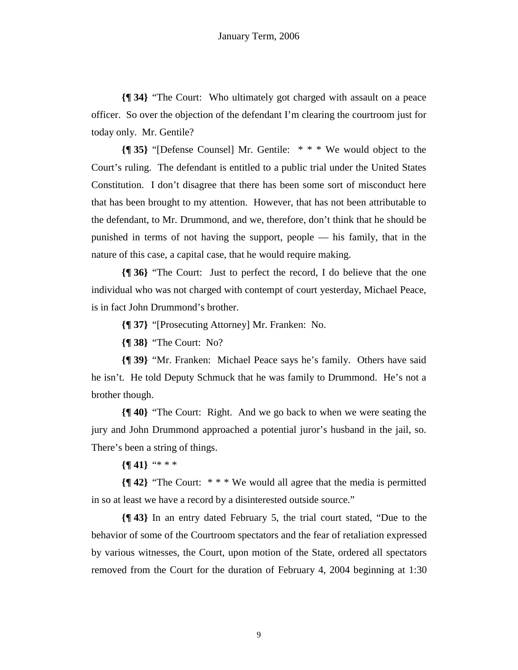**{¶ 34}** "The Court: Who ultimately got charged with assault on a peace officer. So over the objection of the defendant I'm clearing the courtroom just for today only. Mr. Gentile?

**{¶ 35}** "[Defense Counsel] Mr. Gentile: \* \* \* We would object to the Court's ruling. The defendant is entitled to a public trial under the United States Constitution. I don't disagree that there has been some sort of misconduct here that has been brought to my attention. However, that has not been attributable to the defendant, to Mr. Drummond, and we, therefore, don't think that he should be punished in terms of not having the support, people — his family, that in the nature of this case, a capital case, that he would require making.

**{¶ 36}** "The Court: Just to perfect the record, I do believe that the one individual who was not charged with contempt of court yesterday, Michael Peace, is in fact John Drummond's brother.

**{¶ 37}** "[Prosecuting Attorney] Mr. Franken: No.

**{¶ 38}** "The Court: No?

**{¶ 39}** "Mr. Franken: Michael Peace says he's family. Others have said he isn't. He told Deputy Schmuck that he was family to Drummond. He's not a brother though.

**{¶ 40}** "The Court: Right. And we go back to when we were seating the jury and John Drummond approached a potential juror's husband in the jail, so. There's been a string of things.

**{¶ 41}** "\* \* \*

**{¶ 42}** "The Court: \* \* \* We would all agree that the media is permitted in so at least we have a record by a disinterested outside source."

**{¶ 43}** In an entry dated February 5, the trial court stated, "Due to the behavior of some of the Courtroom spectators and the fear of retaliation expressed by various witnesses, the Court, upon motion of the State, ordered all spectators removed from the Court for the duration of February 4, 2004 beginning at 1:30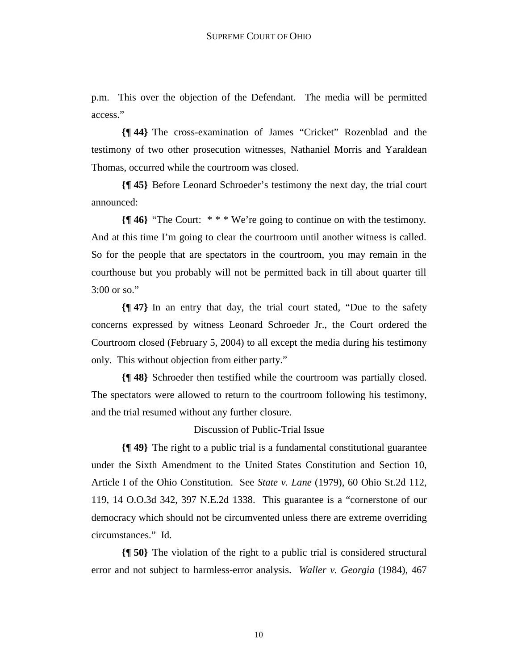p.m. This over the objection of the Defendant. The media will be permitted access."

**{¶ 44}** The cross-examination of James "Cricket" Rozenblad and the testimony of two other prosecution witnesses, Nathaniel Morris and Yaraldean Thomas, occurred while the courtroom was closed.

**{¶ 45}** Before Leonard Schroeder's testimony the next day, the trial court announced:

**{¶ 46}** "The Court: \* \* \* We're going to continue on with the testimony. And at this time I'm going to clear the courtroom until another witness is called. So for the people that are spectators in the courtroom, you may remain in the courthouse but you probably will not be permitted back in till about quarter till 3:00 or so."

**{¶ 47}** In an entry that day, the trial court stated, "Due to the safety concerns expressed by witness Leonard Schroeder Jr., the Court ordered the Courtroom closed (February 5, 2004) to all except the media during his testimony only. This without objection from either party."

**{¶ 48}** Schroeder then testified while the courtroom was partially closed. The spectators were allowed to return to the courtroom following his testimony, and the trial resumed without any further closure.

Discussion of Public-Trial Issue

**{¶ 49}** The right to a public trial is a fundamental constitutional guarantee under the Sixth Amendment to the United States Constitution and Section 10, Article I of the Ohio Constitution. See *State v. Lane* (1979), 60 Ohio St.2d 112, 119, 14 O.O.3d 342, 397 N.E.2d 1338. This guarantee is a "cornerstone of our democracy which should not be circumvented unless there are extreme overriding circumstances." Id.

**{¶ 50}** The violation of the right to a public trial is considered structural error and not subject to harmless-error analysis. *Waller v. Georgia* (1984), 467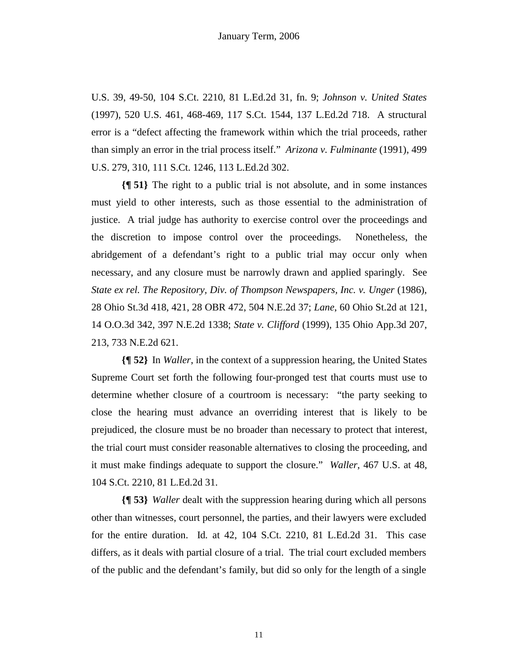U.S. 39, 49-50, 104 S.Ct. 2210, 81 L.Ed.2d 31, fn. 9; *Johnson v. United States* (1997), 520 U.S. 461, 468-469, 117 S.Ct. 1544, 137 L.Ed.2d 718. A structural error is a "defect affecting the framework within which the trial proceeds, rather than simply an error in the trial process itself." *Arizona v. Fulminante* (1991), 499 U.S. 279, 310, 111 S.Ct. 1246, 113 L.Ed.2d 302.

**{¶ 51}** The right to a public trial is not absolute, and in some instances must yield to other interests, such as those essential to the administration of justice. A trial judge has authority to exercise control over the proceedings and the discretion to impose control over the proceedings. Nonetheless, the abridgement of a defendant's right to a public trial may occur only when necessary, and any closure must be narrowly drawn and applied sparingly. See *State ex rel. The Repository, Div. of Thompson Newspapers, Inc. v. Unger* (1986), 28 Ohio St.3d 418, 421, 28 OBR 472, 504 N.E.2d 37; *Lane*, 60 Ohio St.2d at 121, 14 O.O.3d 342, 397 N.E.2d 1338; *State v. Clifford* (1999), 135 Ohio App.3d 207, 213, 733 N.E.2d 621.

**{¶ 52}** In *Waller*, in the context of a suppression hearing, the United States Supreme Court set forth the following four-pronged test that courts must use to determine whether closure of a courtroom is necessary: "the party seeking to close the hearing must advance an overriding interest that is likely to be prejudiced, the closure must be no broader than necessary to protect that interest, the trial court must consider reasonable alternatives to closing the proceeding, and it must make findings adequate to support the closure." *Waller*, 467 U.S. at 48, 104 S.Ct. 2210, 81 L.Ed.2d 31.

**{¶ 53}** *Waller* dealt with the suppression hearing during which all persons other than witnesses, court personnel, the parties, and their lawyers were excluded for the entire duration. Id*.* at 42, 104 S.Ct. 2210, 81 L.Ed.2d 31. This case differs, as it deals with partial closure of a trial. The trial court excluded members of the public and the defendant's family, but did so only for the length of a single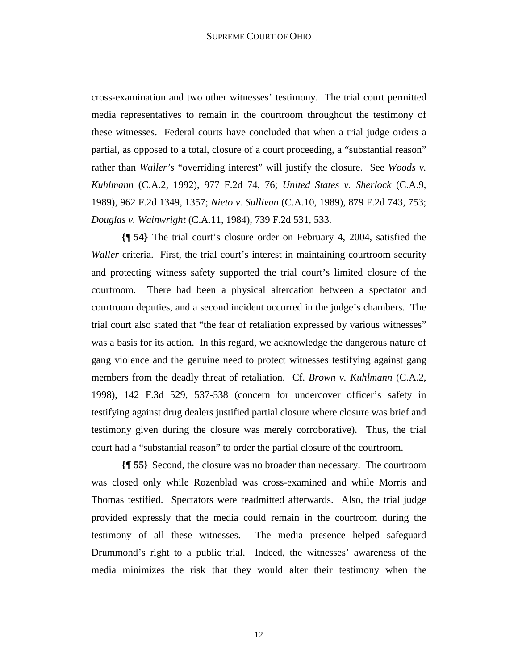cross-examination and two other witnesses' testimony. The trial court permitted media representatives to remain in the courtroom throughout the testimony of these witnesses. Federal courts have concluded that when a trial judge orders a partial, as opposed to a total, closure of a court proceeding, a "substantial reason" rather than *Waller's* "overriding interest" will justify the closure. See *Woods v. Kuhlmann* (C.A.2, 1992), 977 F.2d 74, 76; *United States v. Sherlock* (C.A.9, 1989), 962 F.2d 1349, 1357; *Nieto v. Sullivan* (C.A.10, 1989), 879 F.2d 743, 753; *Douglas v. Wainwright* (C.A.11, 1984), 739 F.2d 531, 533.

**{¶ 54}** The trial court's closure order on February 4, 2004, satisfied the *Waller* criteria. First, the trial court's interest in maintaining courtroom security and protecting witness safety supported the trial court's limited closure of the courtroom. There had been a physical altercation between a spectator and courtroom deputies, and a second incident occurred in the judge's chambers. The trial court also stated that "the fear of retaliation expressed by various witnesses" was a basis for its action. In this regard, we acknowledge the dangerous nature of gang violence and the genuine need to protect witnesses testifying against gang members from the deadly threat of retaliation. Cf. *Brown v. Kuhlmann* (C.A.2, 1998), 142 F.3d 529, 537-538 (concern for undercover officer's safety in testifying against drug dealers justified partial closure where closure was brief and testimony given during the closure was merely corroborative). Thus, the trial court had a "substantial reason" to order the partial closure of the courtroom.

**{¶ 55}** Second, the closure was no broader than necessary. The courtroom was closed only while Rozenblad was cross-examined and while Morris and Thomas testified. Spectators were readmitted afterwards. Also, the trial judge provided expressly that the media could remain in the courtroom during the testimony of all these witnesses. The media presence helped safeguard Drummond's right to a public trial. Indeed, the witnesses' awareness of the media minimizes the risk that they would alter their testimony when the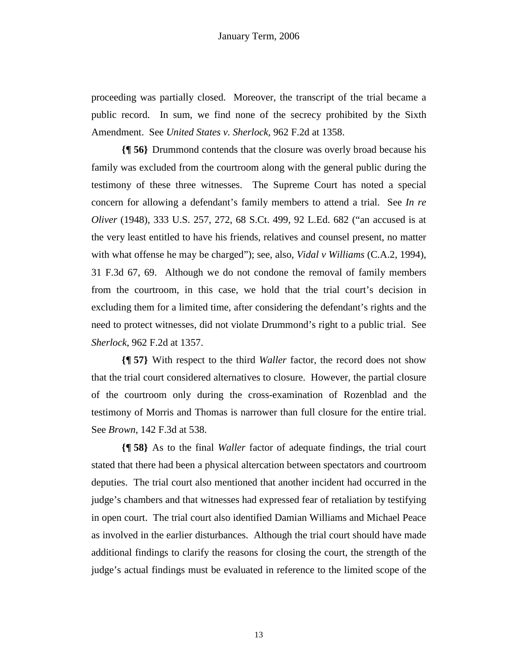proceeding was partially closed. Moreover, the transcript of the trial became a public record. In sum, we find none of the secrecy prohibited by the Sixth Amendment. See *United States v. Sherlock*, 962 F.2d at 1358.

**{¶ 56}** Drummond contends that the closure was overly broad because his family was excluded from the courtroom along with the general public during the testimony of these three witnesses. The Supreme Court has noted a special concern for allowing a defendant's family members to attend a trial. See *In re Oliver* (1948), 333 U.S. 257, 272, 68 S.Ct. 499, 92 L.Ed. 682 ("an accused is at the very least entitled to have his friends, relatives and counsel present, no matter with what offense he may be charged"); see, also, *Vidal v Williams* (C.A.2, 1994), 31 F.3d 67, 69. Although we do not condone the removal of family members from the courtroom, in this case, we hold that the trial court's decision in excluding them for a limited time, after considering the defendant's rights and the need to protect witnesses, did not violate Drummond's right to a public trial. See *Sherlock*, 962 F.2d at 1357.

**{¶ 57}** With respect to the third *Waller* factor, the record does not show that the trial court considered alternatives to closure. However, the partial closure of the courtroom only during the cross-examination of Rozenblad and the testimony of Morris and Thomas is narrower than full closure for the entire trial. See *Brown*, 142 F.3d at 538.

**{¶ 58}** As to the final *Waller* factor of adequate findings, the trial court stated that there had been a physical altercation between spectators and courtroom deputies. The trial court also mentioned that another incident had occurred in the judge's chambers and that witnesses had expressed fear of retaliation by testifying in open court. The trial court also identified Damian Williams and Michael Peace as involved in the earlier disturbances. Although the trial court should have made additional findings to clarify the reasons for closing the court, the strength of the judge's actual findings must be evaluated in reference to the limited scope of the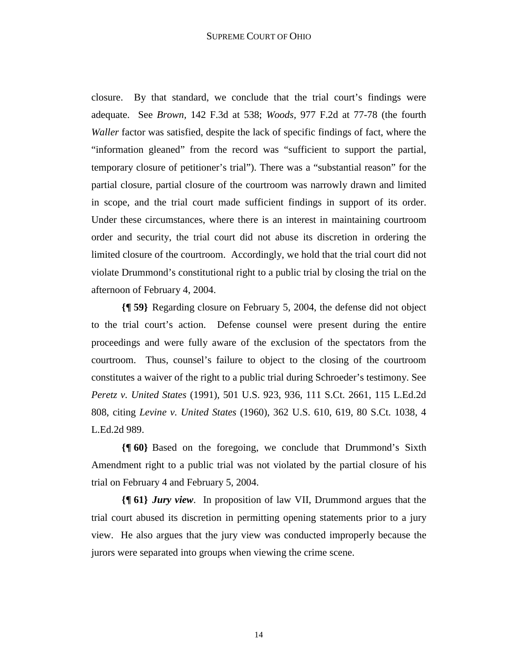closure. By that standard, we conclude that the trial court's findings were adequate. See *Brown,* 142 F.3d at 538; *Woods,* 977 F.2d at 77-78 (the fourth *Waller* factor was satisfied, despite the lack of specific findings of fact, where the "information gleaned" from the record was "sufficient to support the partial, temporary closure of petitioner's trial"). There was a "substantial reason" for the partial closure, partial closure of the courtroom was narrowly drawn and limited in scope, and the trial court made sufficient findings in support of its order. Under these circumstances, where there is an interest in maintaining courtroom order and security, the trial court did not abuse its discretion in ordering the limited closure of the courtroom. Accordingly, we hold that the trial court did not violate Drummond's constitutional right to a public trial by closing the trial on the afternoon of February 4, 2004.

**{¶ 59}** Regarding closure on February 5, 2004, the defense did not object to the trial court's action. Defense counsel were present during the entire proceedings and were fully aware of the exclusion of the spectators from the courtroom. Thus, counsel's failure to object to the closing of the courtroom constitutes a waiver of the right to a public trial during Schroeder's testimony. See *Peretz v. United States* (1991), 501 U.S. 923, 936, 111 S.Ct. 2661, 115 L.Ed.2d 808, citing *Levine v. United States* (1960), 362 U.S. 610, 619, 80 S.Ct. 1038, 4 L.Ed.2d 989.

**{¶ 60}** Based on the foregoing, we conclude that Drummond's Sixth Amendment right to a public trial was not violated by the partial closure of his trial on February 4 and February 5, 2004.

**{¶ 61}** *Jury view*. In proposition of law VII, Drummond argues that the trial court abused its discretion in permitting opening statements prior to a jury view. He also argues that the jury view was conducted improperly because the jurors were separated into groups when viewing the crime scene.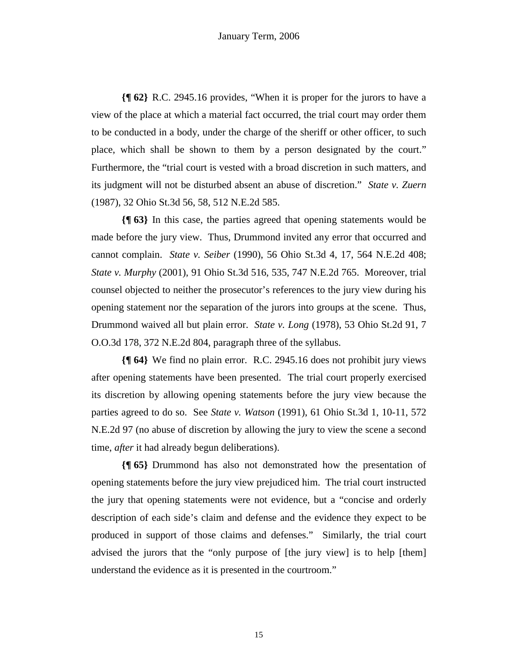**{¶ 62}** R.C. 2945.16 provides, "When it is proper for the jurors to have a view of the place at which a material fact occurred, the trial court may order them to be conducted in a body, under the charge of the sheriff or other officer, to such place, which shall be shown to them by a person designated by the court." Furthermore, the "trial court is vested with a broad discretion in such matters, and its judgment will not be disturbed absent an abuse of discretion." *State v. Zuern* (1987), 32 Ohio St.3d 56, 58, 512 N.E.2d 585.

**{¶ 63}** In this case, the parties agreed that opening statements would be made before the jury view. Thus, Drummond invited any error that occurred and cannot complain. *State v. Seiber* (1990), 56 Ohio St.3d 4, 17, 564 N.E.2d 408; *State v. Murphy* (2001), 91 Ohio St.3d 516, 535, 747 N.E.2d 765. Moreover, trial counsel objected to neither the prosecutor's references to the jury view during his opening statement nor the separation of the jurors into groups at the scene. Thus, Drummond waived all but plain error. *State v. Long* (1978), 53 Ohio St.2d 91, 7 O.O.3d 178, 372 N.E.2d 804, paragraph three of the syllabus.

**{¶ 64}** We find no plain error. R.C. 2945.16 does not prohibit jury views after opening statements have been presented. The trial court properly exercised its discretion by allowing opening statements before the jury view because the parties agreed to do so. See *State v. Watson* (1991), 61 Ohio St.3d 1, 10-11, 572 N.E.2d 97 (no abuse of discretion by allowing the jury to view the scene a second time, *after* it had already begun deliberations).

**{¶ 65}** Drummond has also not demonstrated how the presentation of opening statements before the jury view prejudiced him. The trial court instructed the jury that opening statements were not evidence, but a "concise and orderly description of each side's claim and defense and the evidence they expect to be produced in support of those claims and defenses." Similarly, the trial court advised the jurors that the "only purpose of [the jury view] is to help [them] understand the evidence as it is presented in the courtroom."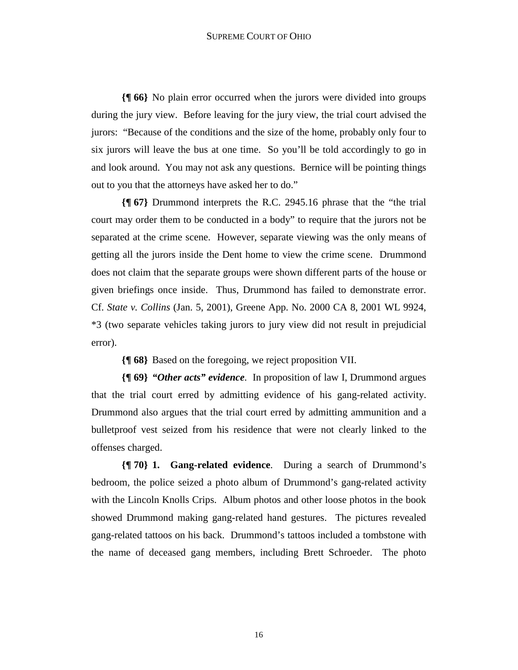**{¶ 66}** No plain error occurred when the jurors were divided into groups during the jury view. Before leaving for the jury view, the trial court advised the jurors: "Because of the conditions and the size of the home, probably only four to six jurors will leave the bus at one time. So you'll be told accordingly to go in and look around. You may not ask any questions. Bernice will be pointing things out to you that the attorneys have asked her to do."

**{¶ 67}** Drummond interprets the R.C. 2945.16 phrase that the "the trial court may order them to be conducted in a body" to require that the jurors not be separated at the crime scene. However, separate viewing was the only means of getting all the jurors inside the Dent home to view the crime scene. Drummond does not claim that the separate groups were shown different parts of the house or given briefings once inside. Thus, Drummond has failed to demonstrate error. Cf. *State v. Collins* (Jan. 5, 2001), Greene App. No. 2000 CA 8, 2001 WL 9924, \*3 (two separate vehicles taking jurors to jury view did not result in prejudicial error).

**{¶ 68}** Based on the foregoing, we reject proposition VII.

**{¶ 69}** *"Other acts" evidence*. In proposition of law I, Drummond argues that the trial court erred by admitting evidence of his gang-related activity. Drummond also argues that the trial court erred by admitting ammunition and a bulletproof vest seized from his residence that were not clearly linked to the offenses charged.

**{¶ 70} 1. Gang-related evidence**. During a search of Drummond's bedroom, the police seized a photo album of Drummond's gang-related activity with the Lincoln Knolls Crips. Album photos and other loose photos in the book showed Drummond making gang-related hand gestures. The pictures revealed gang-related tattoos on his back. Drummond's tattoos included a tombstone with the name of deceased gang members, including Brett Schroeder. The photo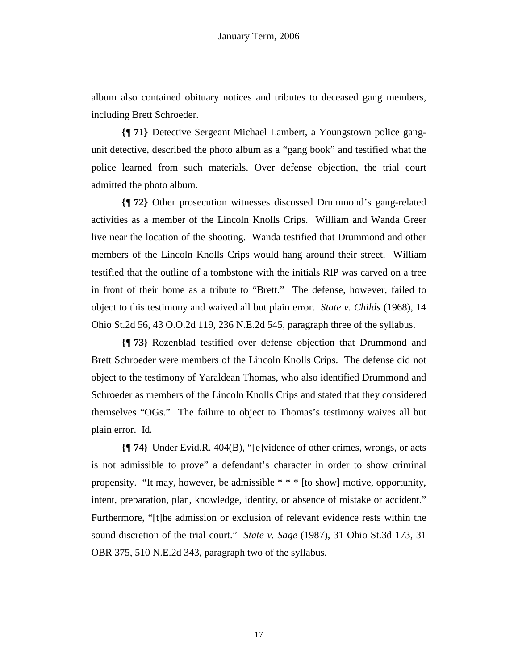album also contained obituary notices and tributes to deceased gang members, including Brett Schroeder.

**{¶ 71}** Detective Sergeant Michael Lambert, a Youngstown police gangunit detective, described the photo album as a "gang book" and testified what the police learned from such materials. Over defense objection, the trial court admitted the photo album.

**{¶ 72}** Other prosecution witnesses discussed Drummond's gang-related activities as a member of the Lincoln Knolls Crips. William and Wanda Greer live near the location of the shooting. Wanda testified that Drummond and other members of the Lincoln Knolls Crips would hang around their street. William testified that the outline of a tombstone with the initials RIP was carved on a tree in front of their home as a tribute to "Brett." The defense, however, failed to object to this testimony and waived all but plain error. *State v. Childs* (1968), 14 Ohio St.2d 56, 43 O.O.2d 119, 236 N.E.2d 545, paragraph three of the syllabus.

**{¶ 73}** Rozenblad testified over defense objection that Drummond and Brett Schroeder were members of the Lincoln Knolls Crips. The defense did not object to the testimony of Yaraldean Thomas, who also identified Drummond and Schroeder as members of the Lincoln Knolls Crips and stated that they considered themselves "OGs." The failure to object to Thomas's testimony waives all but plain error. Id*.*

**{¶ 74}** Under Evid.R. 404(B), "[e]vidence of other crimes, wrongs, or acts is not admissible to prove" a defendant's character in order to show criminal propensity. "It may, however, be admissible \* \* \* [to show] motive, opportunity, intent, preparation, plan, knowledge, identity, or absence of mistake or accident." Furthermore, "[t]he admission or exclusion of relevant evidence rests within the sound discretion of the trial court." *State v. Sage* (1987), 31 Ohio St.3d 173, 31 OBR 375, 510 N.E.2d 343, paragraph two of the syllabus.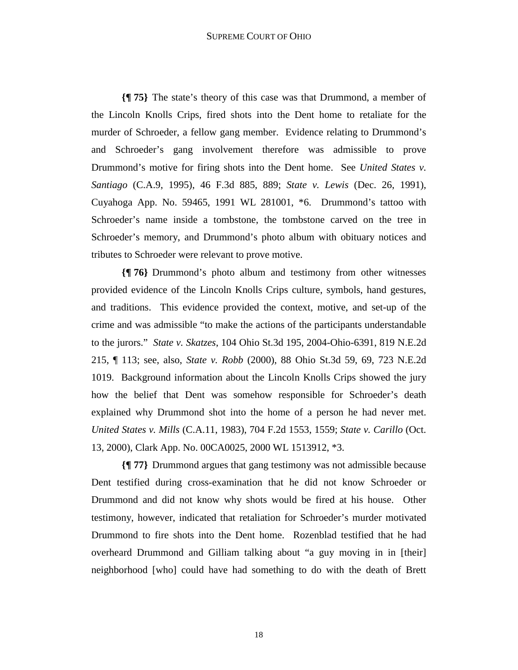**{¶ 75}** The state's theory of this case was that Drummond, a member of the Lincoln Knolls Crips, fired shots into the Dent home to retaliate for the murder of Schroeder, a fellow gang member. Evidence relating to Drummond's and Schroeder's gang involvement therefore was admissible to prove Drummond's motive for firing shots into the Dent home. See *United States v. Santiago* (C.A.9, 1995), 46 F.3d 885, 889; *State v. Lewis* (Dec. 26, 1991), Cuyahoga App. No. 59465, 1991 WL 281001, \*6. Drummond's tattoo with Schroeder's name inside a tombstone, the tombstone carved on the tree in Schroeder's memory, and Drummond's photo album with obituary notices and tributes to Schroeder were relevant to prove motive.

**{¶ 76}** Drummond's photo album and testimony from other witnesses provided evidence of the Lincoln Knolls Crips culture, symbols, hand gestures, and traditions. This evidence provided the context, motive, and set-up of the crime and was admissible "to make the actions of the participants understandable to the jurors." *State v. Skatzes*, 104 Ohio St.3d 195, 2004-Ohio-6391, 819 N.E.2d 215, ¶ 113; see, also, *State v. Robb* (2000), 88 Ohio St.3d 59, 69, 723 N.E.2d 1019. Background information about the Lincoln Knolls Crips showed the jury how the belief that Dent was somehow responsible for Schroeder's death explained why Drummond shot into the home of a person he had never met. *United States v. Mills* (C.A.11, 1983), 704 F.2d 1553, 1559; *State v. Carillo* (Oct. 13, 2000), Clark App. No. 00CA0025, 2000 WL 1513912, \*3.

**{¶ 77}** Drummond argues that gang testimony was not admissible because Dent testified during cross-examination that he did not know Schroeder or Drummond and did not know why shots would be fired at his house. Other testimony, however, indicated that retaliation for Schroeder's murder motivated Drummond to fire shots into the Dent home. Rozenblad testified that he had overheard Drummond and Gilliam talking about "a guy moving in in [their] neighborhood [who] could have had something to do with the death of Brett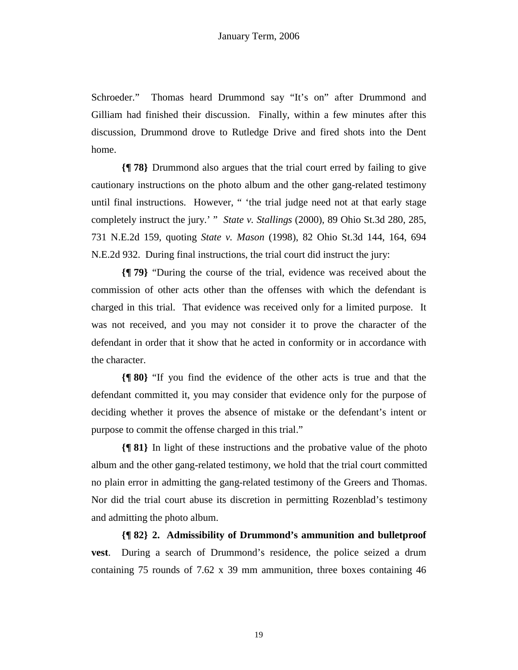Schroeder." Thomas heard Drummond say "It's on" after Drummond and Gilliam had finished their discussion. Finally, within a few minutes after this discussion, Drummond drove to Rutledge Drive and fired shots into the Dent home.

**{¶ 78}** Drummond also argues that the trial court erred by failing to give cautionary instructions on the photo album and the other gang-related testimony until final instructions. However, " 'the trial judge need not at that early stage completely instruct the jury.' " *State v. Stallings* (2000), 89 Ohio St.3d 280, 285, 731 N.E.2d 159, quoting *State v. Mason* (1998), 82 Ohio St.3d 144, 164, 694 N.E.2d 932. During final instructions, the trial court did instruct the jury:

**{¶ 79}** "During the course of the trial, evidence was received about the commission of other acts other than the offenses with which the defendant is charged in this trial. That evidence was received only for a limited purpose. It was not received, and you may not consider it to prove the character of the defendant in order that it show that he acted in conformity or in accordance with the character.

**{¶ 80}** "If you find the evidence of the other acts is true and that the defendant committed it, you may consider that evidence only for the purpose of deciding whether it proves the absence of mistake or the defendant's intent or purpose to commit the offense charged in this trial."

**{¶ 81}** In light of these instructions and the probative value of the photo album and the other gang-related testimony, we hold that the trial court committed no plain error in admitting the gang-related testimony of the Greers and Thomas. Nor did the trial court abuse its discretion in permitting Rozenblad's testimony and admitting the photo album.

**{¶ 82} 2. Admissibility of Drummond's ammunition and bulletproof vest**. During a search of Drummond's residence, the police seized a drum containing 75 rounds of 7.62 x 39 mm ammunition, three boxes containing 46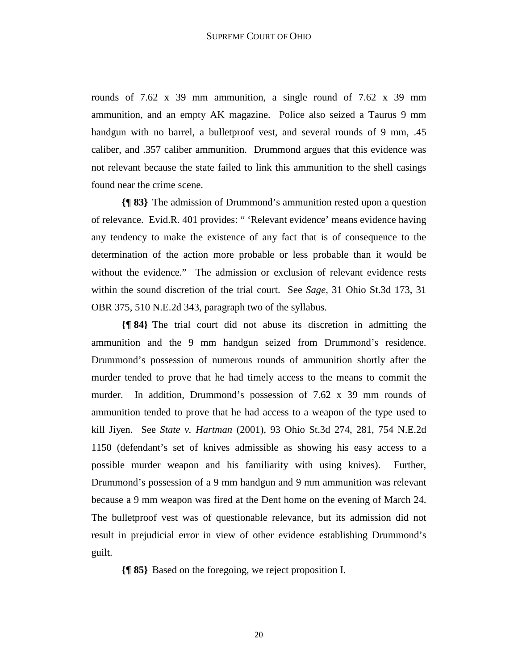rounds of 7.62 x 39 mm ammunition, a single round of 7.62 x 39 mm ammunition, and an empty AK magazine. Police also seized a Taurus 9 mm handgun with no barrel, a bulletproof vest, and several rounds of 9 mm,  $.45$ caliber, and .357 caliber ammunition. Drummond argues that this evidence was not relevant because the state failed to link this ammunition to the shell casings found near the crime scene.

**{¶ 83}** The admission of Drummond's ammunition rested upon a question of relevance. Evid.R. 401 provides: " 'Relevant evidence' means evidence having any tendency to make the existence of any fact that is of consequence to the determination of the action more probable or less probable than it would be without the evidence." The admission or exclusion of relevant evidence rests within the sound discretion of the trial court. See *Sage*, 31 Ohio St.3d 173, 31 OBR 375, 510 N.E.2d 343, paragraph two of the syllabus.

**{¶ 84}** The trial court did not abuse its discretion in admitting the ammunition and the 9 mm handgun seized from Drummond's residence. Drummond's possession of numerous rounds of ammunition shortly after the murder tended to prove that he had timely access to the means to commit the murder. In addition, Drummond's possession of 7.62 x 39 mm rounds of ammunition tended to prove that he had access to a weapon of the type used to kill Jiyen. See *State v. Hartman* (2001), 93 Ohio St.3d 274, 281, 754 N.E.2d 1150 (defendant's set of knives admissible as showing his easy access to a possible murder weapon and his familiarity with using knives). Further, Drummond's possession of a 9 mm handgun and 9 mm ammunition was relevant because a 9 mm weapon was fired at the Dent home on the evening of March 24. The bulletproof vest was of questionable relevance, but its admission did not result in prejudicial error in view of other evidence establishing Drummond's guilt.

**{¶ 85}** Based on the foregoing, we reject proposition I.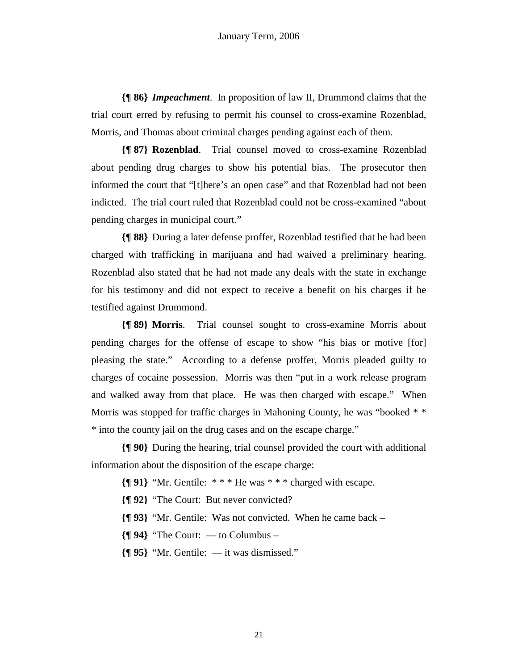**{¶ 86}** *Impeachment*. In proposition of law II, Drummond claims that the trial court erred by refusing to permit his counsel to cross-examine Rozenblad, Morris, and Thomas about criminal charges pending against each of them.

**{¶ 87} Rozenblad**. Trial counsel moved to cross-examine Rozenblad about pending drug charges to show his potential bias. The prosecutor then informed the court that "[t]here's an open case" and that Rozenblad had not been indicted. The trial court ruled that Rozenblad could not be cross-examined "about pending charges in municipal court."

**{¶ 88}** During a later defense proffer, Rozenblad testified that he had been charged with trafficking in marijuana and had waived a preliminary hearing. Rozenblad also stated that he had not made any deals with the state in exchange for his testimony and did not expect to receive a benefit on his charges if he testified against Drummond.

**{¶ 89} Morris**. Trial counsel sought to cross-examine Morris about pending charges for the offense of escape to show "his bias or motive [for] pleasing the state." According to a defense proffer, Morris pleaded guilty to charges of cocaine possession. Morris was then "put in a work release program and walked away from that place. He was then charged with escape." When Morris was stopped for traffic charges in Mahoning County, he was "booked  $**$ \* into the county jail on the drug cases and on the escape charge."

**{¶ 90}** During the hearing, trial counsel provided the court with additional information about the disposition of the escape charge:

**{¶ 91}** "Mr. Gentile: \* \* \* He was \* \* \* charged with escape.

**{¶ 92}** "The Court: But never convicted?

**{¶ 93}** "Mr. Gentile: Was not convicted. When he came back –

**{¶ 94}** "The Court: — to Columbus –

**{¶ 95}** "Mr. Gentile: — it was dismissed."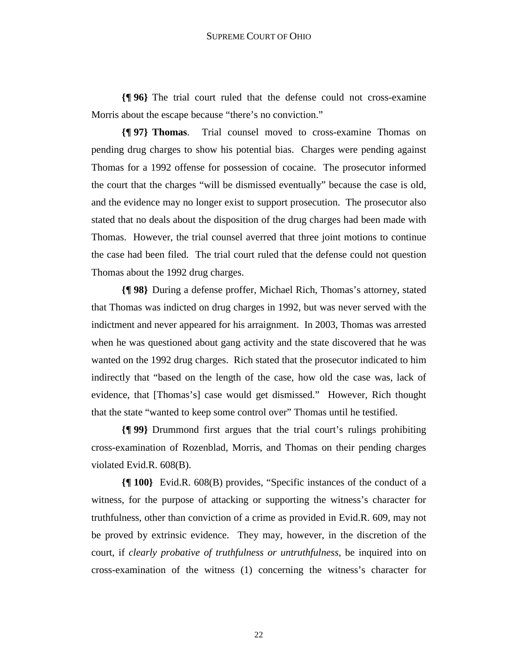**{¶ 96}** The trial court ruled that the defense could not cross-examine Morris about the escape because "there's no conviction."

**{¶ 97} Thomas**. Trial counsel moved to cross-examine Thomas on pending drug charges to show his potential bias. Charges were pending against Thomas for a 1992 offense for possession of cocaine. The prosecutor informed the court that the charges "will be dismissed eventually" because the case is old, and the evidence may no longer exist to support prosecution. The prosecutor also stated that no deals about the disposition of the drug charges had been made with Thomas. However, the trial counsel averred that three joint motions to continue the case had been filed. The trial court ruled that the defense could not question Thomas about the 1992 drug charges.

**{¶ 98}** During a defense proffer, Michael Rich, Thomas's attorney, stated that Thomas was indicted on drug charges in 1992, but was never served with the indictment and never appeared for his arraignment. In 2003, Thomas was arrested when he was questioned about gang activity and the state discovered that he was wanted on the 1992 drug charges. Rich stated that the prosecutor indicated to him indirectly that "based on the length of the case, how old the case was, lack of evidence, that [Thomas's] case would get dismissed." However, Rich thought that the state "wanted to keep some control over" Thomas until he testified.

**{¶ 99}** Drummond first argues that the trial court's rulings prohibiting cross-examination of Rozenblad, Morris, and Thomas on their pending charges violated Evid.R. 608(B).

**{¶ 100}** Evid.R. 608(B) provides, "Specific instances of the conduct of a witness, for the purpose of attacking or supporting the witness's character for truthfulness, other than conviction of a crime as provided in Evid.R. 609, may not be proved by extrinsic evidence. They may, however, in the discretion of the court, if *clearly probative of truthfulness or untruthfulness*, be inquired into on cross-examination of the witness (1) concerning the witness's character for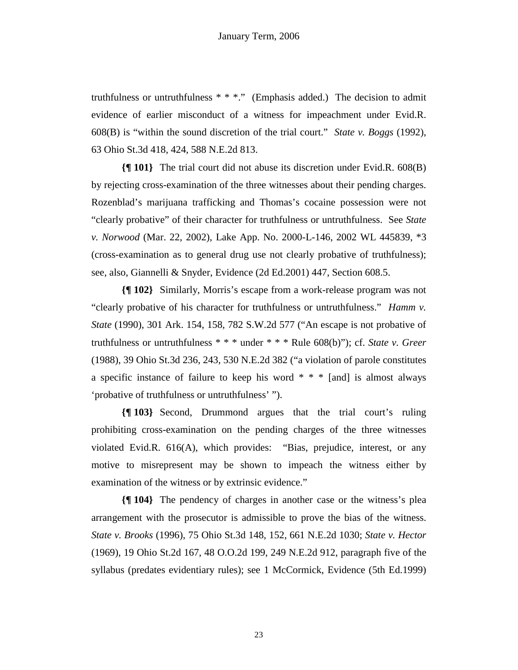truthfulness or untruthfulness  $* * *$ ." (Emphasis added.) The decision to admit evidence of earlier misconduct of a witness for impeachment under Evid.R. 608(B) is "within the sound discretion of the trial court." *State v. Boggs* (1992), 63 Ohio St.3d 418, 424, 588 N.E.2d 813.

**{¶ 101}** The trial court did not abuse its discretion under Evid.R. 608(B) by rejecting cross-examination of the three witnesses about their pending charges. Rozenblad's marijuana trafficking and Thomas's cocaine possession were not "clearly probative" of their character for truthfulness or untruthfulness. See *State v. Norwood* (Mar. 22, 2002), Lake App. No. 2000-L-146, 2002 WL 445839, \*3 (cross-examination as to general drug use not clearly probative of truthfulness); see, also, Giannelli & Snyder, Evidence (2d Ed.2001) 447, Section 608.5.

**{¶ 102}** Similarly, Morris's escape from a work-release program was not "clearly probative of his character for truthfulness or untruthfulness." *Hamm v. State* (1990), 301 Ark. 154, 158, 782 S.W.2d 577 ("An escape is not probative of truthfulness or untruthfulness \* \* \* under \* \* \* Rule 608(b)"); cf. *State v. Greer* (1988), 39 Ohio St.3d 236, 243, 530 N.E.2d 382 ("a violation of parole constitutes a specific instance of failure to keep his word  $* * *$  [and] is almost always 'probative of truthfulness or untruthfulness' ").

**{¶ 103}** Second, Drummond argues that the trial court's ruling prohibiting cross-examination on the pending charges of the three witnesses violated Evid.R. 616(A), which provides: "Bias, prejudice, interest, or any motive to misrepresent may be shown to impeach the witness either by examination of the witness or by extrinsic evidence."

**{¶ 104}** The pendency of charges in another case or the witness's plea arrangement with the prosecutor is admissible to prove the bias of the witness. *State v. Brooks* (1996), 75 Ohio St.3d 148, 152, 661 N.E.2d 1030; *State v. Hector* (1969), 19 Ohio St.2d 167, 48 O.O.2d 199, 249 N.E.2d 912, paragraph five of the syllabus (predates evidentiary rules); see 1 McCormick, Evidence (5th Ed.1999)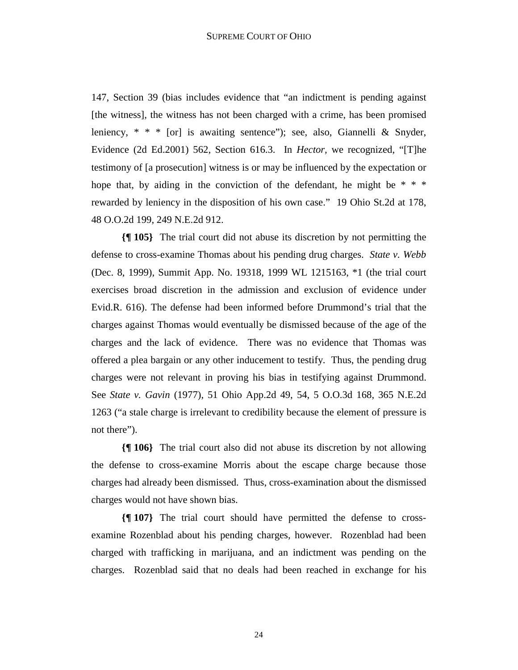147, Section 39 (bias includes evidence that "an indictment is pending against [the witness], the witness has not been charged with a crime, has been promised leniency,  $* * *$  [or] is awaiting sentence"); see, also, Giannelli & Snyder, Evidence (2d Ed.2001) 562, Section 616.3. In *Hector,* we recognized, "[T]he testimony of [a prosecution] witness is or may be influenced by the expectation or hope that, by aiding in the conviction of the defendant, he might be  $* * *$ rewarded by leniency in the disposition of his own case." 19 Ohio St.2d at 178, 48 O.O.2d 199, 249 N.E.2d 912.

**{¶ 105}** The trial court did not abuse its discretion by not permitting the defense to cross-examine Thomas about his pending drug charges. *State v. Webb* (Dec. 8, 1999), Summit App. No. 19318, 1999 WL 1215163, \*1 (the trial court exercises broad discretion in the admission and exclusion of evidence under Evid.R. 616). The defense had been informed before Drummond's trial that the charges against Thomas would eventually be dismissed because of the age of the charges and the lack of evidence. There was no evidence that Thomas was offered a plea bargain or any other inducement to testify. Thus, the pending drug charges were not relevant in proving his bias in testifying against Drummond. See *State v. Gavin* (1977), 51 Ohio App.2d 49, 54, 5 O.O.3d 168, 365 N.E.2d 1263 ("a stale charge is irrelevant to credibility because the element of pressure is not there").

**{¶ 106}** The trial court also did not abuse its discretion by not allowing the defense to cross-examine Morris about the escape charge because those charges had already been dismissed. Thus, cross-examination about the dismissed charges would not have shown bias.

**{¶ 107}** The trial court should have permitted the defense to crossexamine Rozenblad about his pending charges, however. Rozenblad had been charged with trafficking in marijuana, and an indictment was pending on the charges. Rozenblad said that no deals had been reached in exchange for his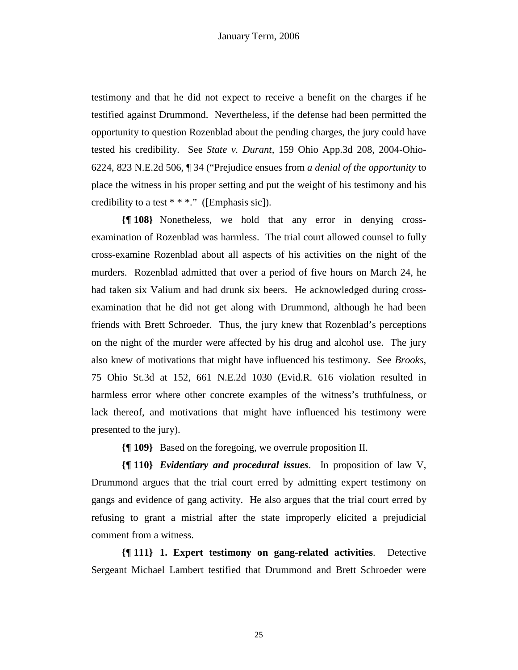testimony and that he did not expect to receive a benefit on the charges if he testified against Drummond. Nevertheless, if the defense had been permitted the opportunity to question Rozenblad about the pending charges, the jury could have tested his credibility. See *State v. Durant,* 159 Ohio App.3d 208, 2004-Ohio-6224, 823 N.E.2d 506, ¶ 34 ("Prejudice ensues from *a denial of the opportunity* to place the witness in his proper setting and put the weight of his testimony and his credibility to a test  $* * *$ ." ([Emphasis sic]).

**{¶ 108}** Nonetheless, we hold that any error in denying crossexamination of Rozenblad was harmless. The trial court allowed counsel to fully cross-examine Rozenblad about all aspects of his activities on the night of the murders. Rozenblad admitted that over a period of five hours on March 24, he had taken six Valium and had drunk six beers. He acknowledged during crossexamination that he did not get along with Drummond, although he had been friends with Brett Schroeder. Thus, the jury knew that Rozenblad's perceptions on the night of the murder were affected by his drug and alcohol use. The jury also knew of motivations that might have influenced his testimony. See *Brooks*, 75 Ohio St.3d at 152, 661 N.E.2d 1030 (Evid.R. 616 violation resulted in harmless error where other concrete examples of the witness's truthfulness, or lack thereof, and motivations that might have influenced his testimony were presented to the jury).

**{¶ 109}** Based on the foregoing, we overrule proposition II.

**{¶ 110}** *Evidentiary and procedural issues*. In proposition of law V, Drummond argues that the trial court erred by admitting expert testimony on gangs and evidence of gang activity. He also argues that the trial court erred by refusing to grant a mistrial after the state improperly elicited a prejudicial comment from a witness.

**{¶ 111} 1. Expert testimony on gang-related activities**. Detective Sergeant Michael Lambert testified that Drummond and Brett Schroeder were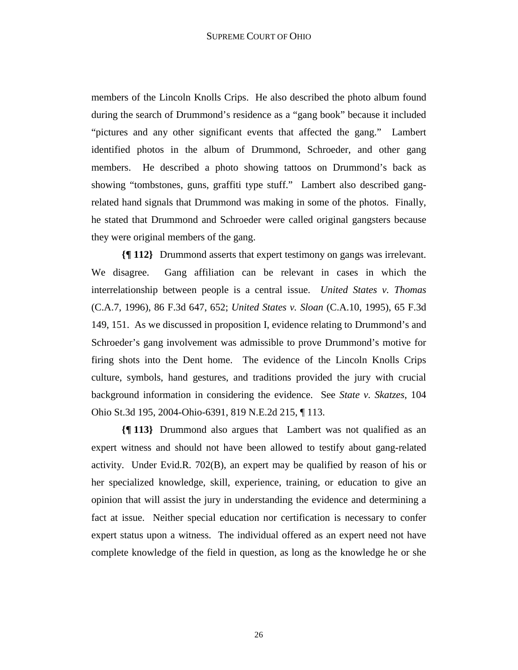members of the Lincoln Knolls Crips. He also described the photo album found during the search of Drummond's residence as a "gang book" because it included "pictures and any other significant events that affected the gang." Lambert identified photos in the album of Drummond, Schroeder, and other gang members. He described a photo showing tattoos on Drummond's back as showing "tombstones, guns, graffiti type stuff." Lambert also described gangrelated hand signals that Drummond was making in some of the photos. Finally, he stated that Drummond and Schroeder were called original gangsters because they were original members of the gang.

**{¶ 112}** Drummond asserts that expert testimony on gangs was irrelevant. We disagree. Gang affiliation can be relevant in cases in which the interrelationship between people is a central issue. *United States v. Thomas* (C.A.7, 1996), 86 F.3d 647, 652; *United States v. Sloan* (C.A.10, 1995), 65 F.3d 149, 151. As we discussed in proposition I, evidence relating to Drummond's and Schroeder's gang involvement was admissible to prove Drummond's motive for firing shots into the Dent home. The evidence of the Lincoln Knolls Crips culture, symbols, hand gestures, and traditions provided the jury with crucial background information in considering the evidence. See *State v. Skatzes*, 104 Ohio St.3d 195, 2004-Ohio-6391, 819 N.E.2d 215, ¶ 113.

**{¶ 113}** Drummond also argues that Lambert was not qualified as an expert witness and should not have been allowed to testify about gang-related activity. Under Evid.R. 702(B), an expert may be qualified by reason of his or her specialized knowledge, skill, experience, training, or education to give an opinion that will assist the jury in understanding the evidence and determining a fact at issue. Neither special education nor certification is necessary to confer expert status upon a witness. The individual offered as an expert need not have complete knowledge of the field in question, as long as the knowledge he or she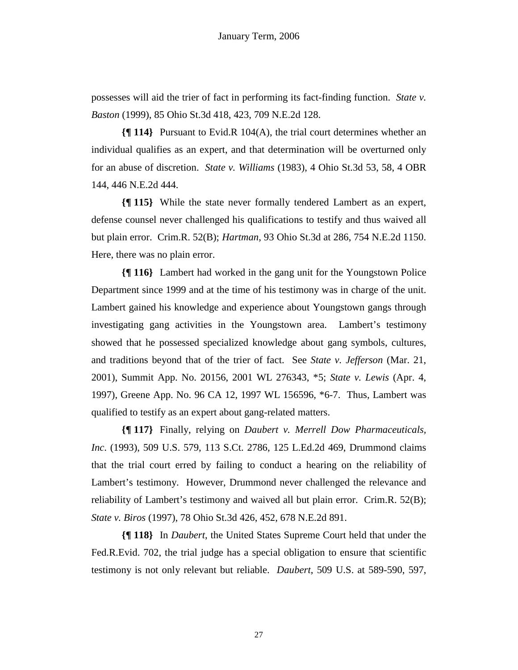possesses will aid the trier of fact in performing its fact-finding function. *State v. Baston* (1999), 85 Ohio St.3d 418, 423, 709 N.E.2d 128.

**{¶ 114}** Pursuant to Evid.R 104(A), the trial court determines whether an individual qualifies as an expert, and that determination will be overturned only for an abuse of discretion. *State v. Williams* (1983), 4 Ohio St.3d 53, 58, 4 OBR 144, 446 N.E.2d 444.

**{¶ 115}** While the state never formally tendered Lambert as an expert, defense counsel never challenged his qualifications to testify and thus waived all but plain error. Crim.R. 52(B); *Hartman*, 93 Ohio St.3d at 286, 754 N.E.2d 1150. Here, there was no plain error.

**{¶ 116}** Lambert had worked in the gang unit for the Youngstown Police Department since 1999 and at the time of his testimony was in charge of the unit. Lambert gained his knowledge and experience about Youngstown gangs through investigating gang activities in the Youngstown area. Lambert's testimony showed that he possessed specialized knowledge about gang symbols, cultures, and traditions beyond that of the trier of fact. See *State v. Jefferson* (Mar. 21, 2001), Summit App. No. 20156, 2001 WL 276343, \*5; *State v. Lewis* (Apr. 4, 1997), Greene App. No. 96 CA 12, 1997 WL 156596, \*6-7. Thus, Lambert was qualified to testify as an expert about gang-related matters.

**{¶ 117}** Finally, relying on *Daubert v. Merrell Dow Pharmaceuticals, Inc*. (1993), 509 U.S. 579, 113 S.Ct. 2786, 125 L.Ed.2d 469, Drummond claims that the trial court erred by failing to conduct a hearing on the reliability of Lambert's testimony. However, Drummond never challenged the relevance and reliability of Lambert's testimony and waived all but plain error. Crim.R. 52(B); *State v. Biros* (1997), 78 Ohio St.3d 426, 452, 678 N.E.2d 891.

**{¶ 118}** In *Daubert*, the United States Supreme Court held that under the Fed.R.Evid. 702, the trial judge has a special obligation to ensure that scientific testimony is not only relevant but reliable. *Daubert*, 509 U.S. at 589-590, 597,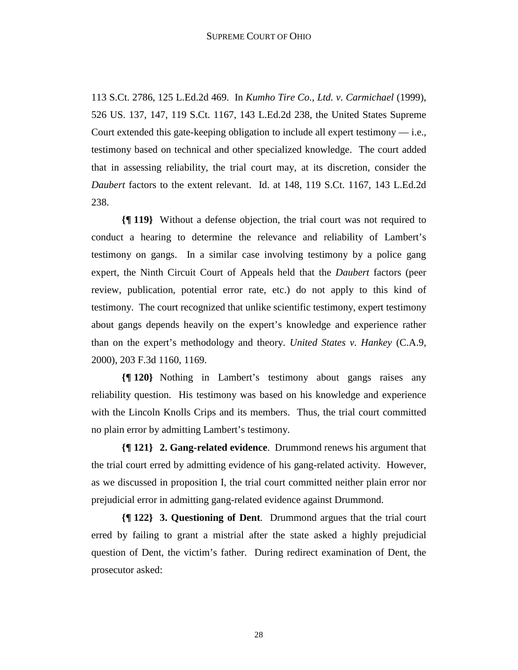113 S.Ct. 2786, 125 L.Ed.2d 469. In *Kumho Tire Co., Ltd. v. Carmichael* (1999), 526 US. 137, 147, 119 S.Ct. 1167, 143 L.Ed.2d 238, the United States Supreme Court extended this gate-keeping obligation to include all expert testimony  $-$  i.e., testimony based on technical and other specialized knowledge. The court added that in assessing reliability, the trial court may, at its discretion, consider the *Daubert* factors to the extent relevant. Id. at 148, 119 S.Ct. 1167, 143 L.Ed.2d 238.

**{¶ 119}** Without a defense objection, the trial court was not required to conduct a hearing to determine the relevance and reliability of Lambert's testimony on gangs. In a similar case involving testimony by a police gang expert, the Ninth Circuit Court of Appeals held that the *Daubert* factors (peer review, publication, potential error rate, etc.) do not apply to this kind of testimony. The court recognized that unlike scientific testimony, expert testimony about gangs depends heavily on the expert's knowledge and experience rather than on the expert's methodology and theory. *United States v. Hankey* (C.A.9, 2000), 203 F.3d 1160, 1169.

**{¶ 120}** Nothing in Lambert's testimony about gangs raises any reliability question. His testimony was based on his knowledge and experience with the Lincoln Knolls Crips and its members. Thus, the trial court committed no plain error by admitting Lambert's testimony.

**{¶ 121} 2. Gang-related evidence**. Drummond renews his argument that the trial court erred by admitting evidence of his gang-related activity. However, as we discussed in proposition I, the trial court committed neither plain error nor prejudicial error in admitting gang-related evidence against Drummond.

**{¶ 122} 3. Questioning of Dent**. Drummond argues that the trial court erred by failing to grant a mistrial after the state asked a highly prejudicial question of Dent, the victim's father. During redirect examination of Dent, the prosecutor asked: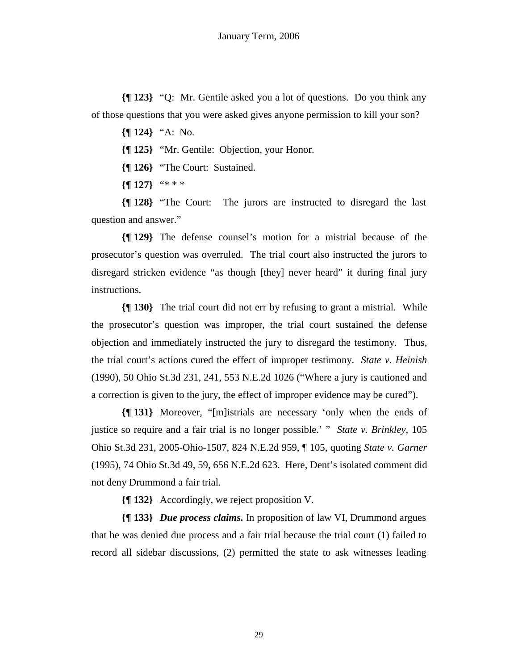**{¶ 123}** "Q: Mr. Gentile asked you a lot of questions. Do you think any of those questions that you were asked gives anyone permission to kill your son?

- **{¶ 124}** "A: No.
- **{¶ 125}** "Mr. Gentile: Objection, your Honor.
- **{¶ 126}** "The Court: Sustained.
- **{¶ 127}** "\* \* \*

**{¶ 128}** "The Court: The jurors are instructed to disregard the last question and answer."

**{¶ 129}** The defense counsel's motion for a mistrial because of the prosecutor's question was overruled. The trial court also instructed the jurors to disregard stricken evidence "as though [they] never heard" it during final jury instructions.

**{¶ 130}** The trial court did not err by refusing to grant a mistrial. While the prosecutor's question was improper, the trial court sustained the defense objection and immediately instructed the jury to disregard the testimony. Thus, the trial court's actions cured the effect of improper testimony. *State v. Heinish* (1990), 50 Ohio St.3d 231, 241, 553 N.E.2d 1026 ("Where a jury is cautioned and a correction is given to the jury, the effect of improper evidence may be cured").

**{¶ 131}** Moreover, "[m]istrials are necessary 'only when the ends of justice so require and a fair trial is no longer possible.' " *State v. Brinkley*, 105 Ohio St.3d 231, 2005-Ohio-1507, 824 N.E.2d 959, ¶ 105, quoting *State v. Garner* (1995), 74 Ohio St.3d 49, 59, 656 N.E.2d 623. Here, Dent's isolated comment did not deny Drummond a fair trial.

**{¶ 132}** Accordingly, we reject proposition V.

**{¶ 133}** *Due process claims.* In proposition of law VI, Drummond argues that he was denied due process and a fair trial because the trial court (1) failed to record all sidebar discussions, (2) permitted the state to ask witnesses leading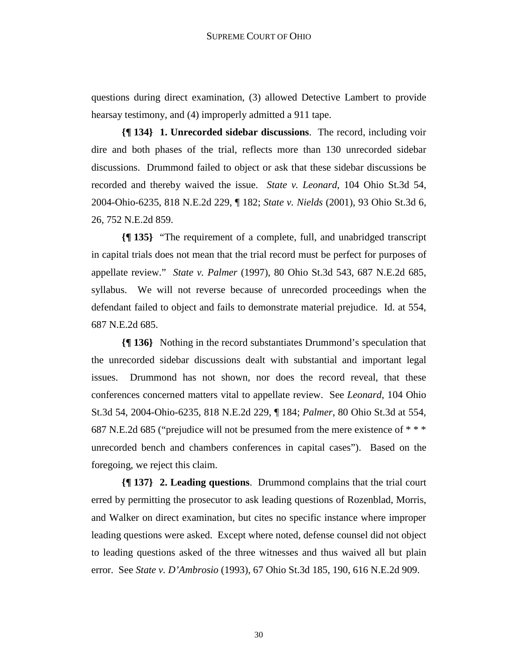questions during direct examination, (3) allowed Detective Lambert to provide hearsay testimony, and (4) improperly admitted a 911 tape.

**{¶ 134} 1. Unrecorded sidebar discussions**. The record, including voir dire and both phases of the trial, reflects more than 130 unrecorded sidebar discussions. Drummond failed to object or ask that these sidebar discussions be recorded and thereby waived the issue. *State v. Leonard*, 104 Ohio St.3d 54, 2004-Ohio-6235, 818 N.E.2d 229, ¶ 182; *State v. Nields* (2001), 93 Ohio St.3d 6, 26, 752 N.E.2d 859.

**{¶ 135}** "The requirement of a complete, full, and unabridged transcript in capital trials does not mean that the trial record must be perfect for purposes of appellate review." *State v. Palmer* (1997), 80 Ohio St.3d 543, 687 N.E.2d 685, syllabus. We will not reverse because of unrecorded proceedings when the defendant failed to object and fails to demonstrate material prejudice. Id. at 554, 687 N.E.2d 685.

**{¶ 136}** Nothing in the record substantiates Drummond's speculation that the unrecorded sidebar discussions dealt with substantial and important legal issues. Drummond has not shown, nor does the record reveal, that these conferences concerned matters vital to appellate review. See *Leonard*, 104 Ohio St.3d 54, 2004-Ohio-6235, 818 N.E.2d 229, ¶ 184; *Palmer*, 80 Ohio St.3d at 554, 687 N.E.2d 685 ("prejudice will not be presumed from the mere existence of \* \* \* unrecorded bench and chambers conferences in capital cases"). Based on the foregoing, we reject this claim.

**{¶ 137} 2. Leading questions**. Drummond complains that the trial court erred by permitting the prosecutor to ask leading questions of Rozenblad, Morris, and Walker on direct examination, but cites no specific instance where improper leading questions were asked. Except where noted, defense counsel did not object to leading questions asked of the three witnesses and thus waived all but plain error. See *State v. D'Ambrosio* (1993), 67 Ohio St.3d 185, 190, 616 N.E.2d 909.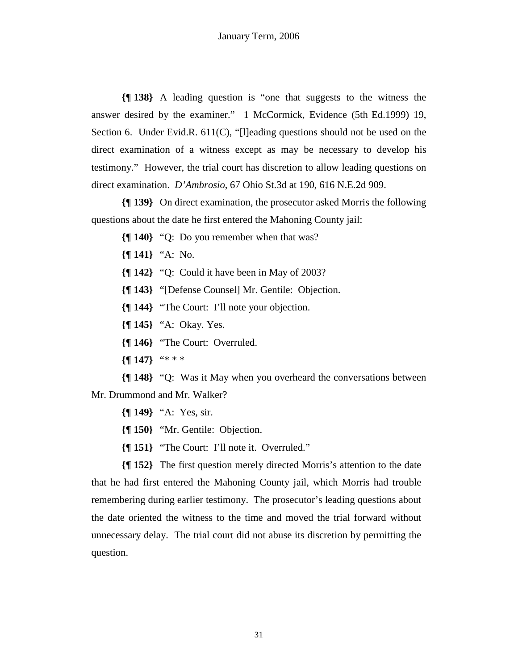**{¶ 138}** A leading question is "one that suggests to the witness the answer desired by the examiner." 1 McCormick, Evidence (5th Ed.1999) 19, Section 6. Under Evid.R. 611(C), "[l]eading questions should not be used on the direct examination of a witness except as may be necessary to develop his testimony." However, the trial court has discretion to allow leading questions on direct examination. *D'Ambrosio*, 67 Ohio St.3d at 190, 616 N.E.2d 909.

**{¶ 139}** On direct examination, the prosecutor asked Morris the following questions about the date he first entered the Mahoning County jail:

- **{¶ 140}** "Q: Do you remember when that was?
- **{¶ 141}** "A: No.
- **{¶ 142}** "Q: Could it have been in May of 2003?
- **{¶ 143}** "[Defense Counsel] Mr. Gentile: Objection.
- **{¶ 144}** "The Court: I'll note your objection.
- **{¶ 145}** "A: Okay. Yes.
- **{¶ 146}** "The Court: Overruled.
- **{¶ 147}** "\* \* \*

**{¶ 148}** "Q: Was it May when you overheard the conversations between Mr. Drummond and Mr. Walker?

- **{¶ 149}** "A: Yes, sir.
- **{¶ 150}** "Mr. Gentile: Objection.
- **{¶ 151}** "The Court: I'll note it. Overruled."

**{¶ 152}** The first question merely directed Morris's attention to the date that he had first entered the Mahoning County jail, which Morris had trouble remembering during earlier testimony. The prosecutor's leading questions about the date oriented the witness to the time and moved the trial forward without unnecessary delay. The trial court did not abuse its discretion by permitting the question.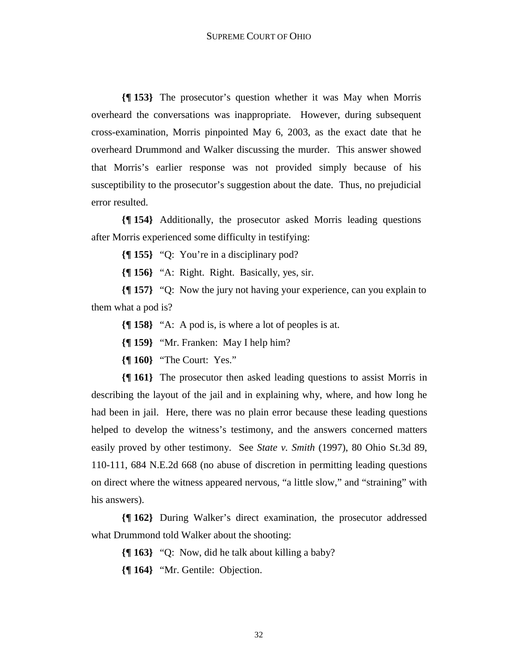**{¶ 153}** The prosecutor's question whether it was May when Morris overheard the conversations was inappropriate. However, during subsequent cross-examination, Morris pinpointed May 6, 2003, as the exact date that he overheard Drummond and Walker discussing the murder. This answer showed that Morris's earlier response was not provided simply because of his susceptibility to the prosecutor's suggestion about the date. Thus, no prejudicial error resulted.

**{¶ 154}** Additionally, the prosecutor asked Morris leading questions after Morris experienced some difficulty in testifying:

**{¶ 155}** "Q: You're in a disciplinary pod?

**{¶ 156}** "A: Right. Right. Basically, yes, sir.

**{¶ 157}** "Q: Now the jury not having your experience, can you explain to them what a pod is?

**{¶ 158}** "A: A pod is, is where a lot of peoples is at.

**{¶ 159}** "Mr. Franken: May I help him?

**{¶ 160}** "The Court: Yes."

**{¶ 161}** The prosecutor then asked leading questions to assist Morris in describing the layout of the jail and in explaining why, where, and how long he had been in jail. Here, there was no plain error because these leading questions helped to develop the witness's testimony, and the answers concerned matters easily proved by other testimony. See *State v. Smith* (1997), 80 Ohio St.3d 89, 110-111, 684 N.E.2d 668 (no abuse of discretion in permitting leading questions on direct where the witness appeared nervous, "a little slow," and "straining" with his answers).

**{¶ 162}** During Walker's direct examination, the prosecutor addressed what Drummond told Walker about the shooting:

**{¶ 163}** "Q: Now, did he talk about killing a baby?

**{¶ 164}** "Mr. Gentile: Objection.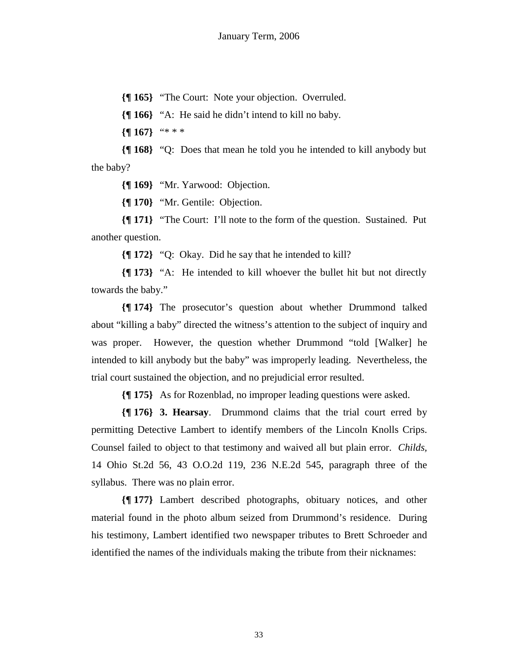**{¶ 165}** "The Court: Note your objection. Overruled.

**{¶ 166}** "A: He said he didn't intend to kill no baby.

**{¶ 167}** "\* \* \*

**{¶ 168}** "Q: Does that mean he told you he intended to kill anybody but the baby?

**{¶ 169}** "Mr. Yarwood: Objection.

**{¶ 170}** "Mr. Gentile: Objection.

**{¶ 171}** "The Court: I'll note to the form of the question. Sustained. Put another question.

**{¶ 172}** "Q: Okay. Did he say that he intended to kill?

**{¶ 173}** "A: He intended to kill whoever the bullet hit but not directly towards the baby."

**{¶ 174}** The prosecutor's question about whether Drummond talked about "killing a baby" directed the witness's attention to the subject of inquiry and was proper. However, the question whether Drummond "told [Walker] he intended to kill anybody but the baby" was improperly leading. Nevertheless, the trial court sustained the objection, and no prejudicial error resulted.

**{¶ 175}** As for Rozenblad, no improper leading questions were asked.

**{¶ 176} 3. Hearsay**. Drummond claims that the trial court erred by permitting Detective Lambert to identify members of the Lincoln Knolls Crips. Counsel failed to object to that testimony and waived all but plain error. *Childs,*  14 Ohio St.2d 56, 43 O.O.2d 119, 236 N.E.2d 545, paragraph three of the syllabus. There was no plain error.

**{¶ 177}** Lambert described photographs, obituary notices, and other material found in the photo album seized from Drummond's residence. During his testimony, Lambert identified two newspaper tributes to Brett Schroeder and identified the names of the individuals making the tribute from their nicknames: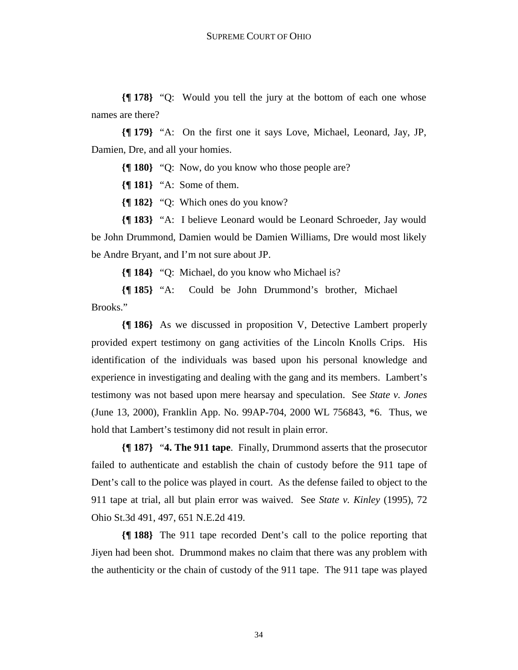**{¶ 178}** "Q: Would you tell the jury at the bottom of each one whose names are there?

**{¶ 179}** "A: On the first one it says Love, Michael, Leonard, Jay, JP, Damien, Dre, and all your homies.

**{¶ 180}** "Q: Now, do you know who those people are?

**{¶ 181}** "A: Some of them.

**{¶ 182}** "Q: Which ones do you know?

**{¶ 183}** "A: I believe Leonard would be Leonard Schroeder, Jay would be John Drummond, Damien would be Damien Williams, Dre would most likely be Andre Bryant, and I'm not sure about JP.

**{¶ 184}** "Q: Michael, do you know who Michael is?

**{¶ 185}** "A: Could be John Drummond's brother, Michael Brooks."

**{¶ 186}** As we discussed in proposition V, Detective Lambert properly provided expert testimony on gang activities of the Lincoln Knolls Crips. His identification of the individuals was based upon his personal knowledge and experience in investigating and dealing with the gang and its members. Lambert's testimony was not based upon mere hearsay and speculation. See *State v. Jones* (June 13, 2000), Franklin App. No. 99AP-704, 2000 WL 756843, \*6. Thus, we hold that Lambert's testimony did not result in plain error.

**{¶ 187}** "**4. The 911 tape**. Finally, Drummond asserts that the prosecutor failed to authenticate and establish the chain of custody before the 911 tape of Dent's call to the police was played in court. As the defense failed to object to the 911 tape at trial, all but plain error was waived. See *State v. Kinley* (1995), 72 Ohio St.3d 491, 497, 651 N.E.2d 419.

**{¶ 188}** The 911 tape recorded Dent's call to the police reporting that Jiyen had been shot. Drummond makes no claim that there was any problem with the authenticity or the chain of custody of the 911 tape. The 911 tape was played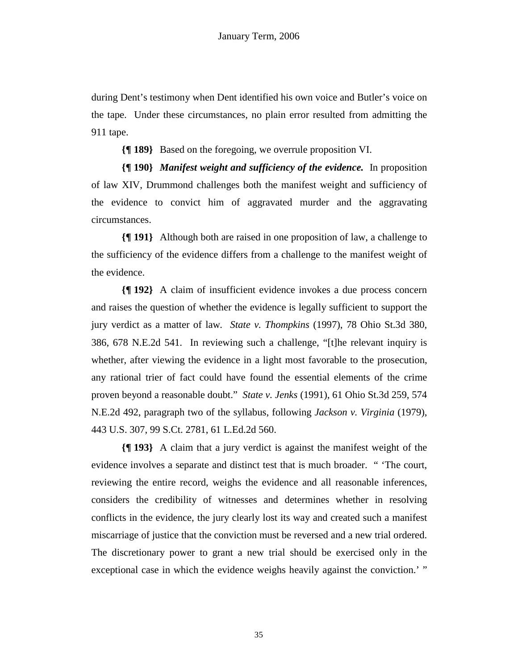during Dent's testimony when Dent identified his own voice and Butler's voice on the tape. Under these circumstances, no plain error resulted from admitting the 911 tape.

**{¶ 189}** Based on the foregoing, we overrule proposition VI.

**{¶ 190}** *Manifest weight and sufficiency of the evidence.* In proposition of law XIV, Drummond challenges both the manifest weight and sufficiency of the evidence to convict him of aggravated murder and the aggravating circumstances.

**{¶ 191}** Although both are raised in one proposition of law, a challenge to the sufficiency of the evidence differs from a challenge to the manifest weight of the evidence.

**{¶ 192}** A claim of insufficient evidence invokes a due process concern and raises the question of whether the evidence is legally sufficient to support the jury verdict as a matter of law*. State v. Thompkins* (1997), 78 Ohio St.3d 380, 386, 678 N.E.2d 541. In reviewing such a challenge, "[t]he relevant inquiry is whether, after viewing the evidence in a light most favorable to the prosecution, any rational trier of fact could have found the essential elements of the crime proven beyond a reasonable doubt." *State v. Jenks* (1991), 61 Ohio St.3d 259, 574 N.E.2d 492, paragraph two of the syllabus, following *Jackson v. Virginia* (1979), 443 U.S. 307, 99 S.Ct. 2781, 61 L.Ed.2d 560.

**{¶ 193}** A claim that a jury verdict is against the manifest weight of the evidence involves a separate and distinct test that is much broader. " 'The court, reviewing the entire record, weighs the evidence and all reasonable inferences, considers the credibility of witnesses and determines whether in resolving conflicts in the evidence, the jury clearly lost its way and created such a manifest miscarriage of justice that the conviction must be reversed and a new trial ordered. The discretionary power to grant a new trial should be exercised only in the exceptional case in which the evidence weighs heavily against the conviction.' "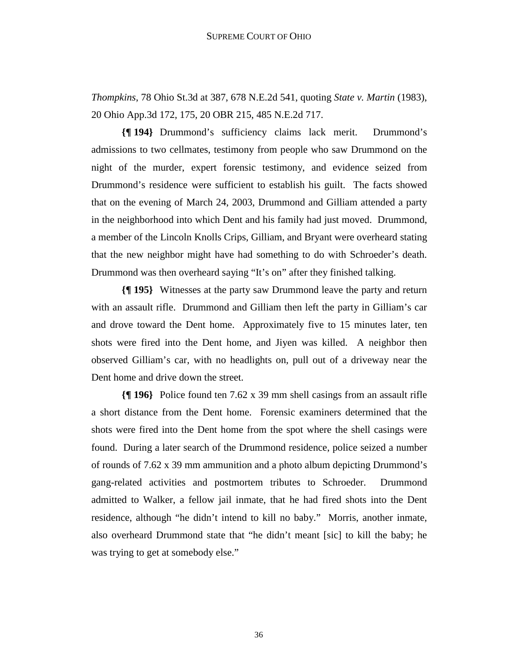*Thompkins*, 78 Ohio St.3d at 387, 678 N.E.2d 541, quoting *State v. Martin* (1983), 20 Ohio App.3d 172, 175, 20 OBR 215, 485 N.E.2d 717.

**{¶ 194}** Drummond's sufficiency claims lack merit. Drummond's admissions to two cellmates, testimony from people who saw Drummond on the night of the murder, expert forensic testimony, and evidence seized from Drummond's residence were sufficient to establish his guilt. The facts showed that on the evening of March 24, 2003, Drummond and Gilliam attended a party in the neighborhood into which Dent and his family had just moved. Drummond, a member of the Lincoln Knolls Crips, Gilliam, and Bryant were overheard stating that the new neighbor might have had something to do with Schroeder's death. Drummond was then overheard saying "It's on" after they finished talking.

**{¶ 195}** Witnesses at the party saw Drummond leave the party and return with an assault rifle. Drummond and Gilliam then left the party in Gilliam's car and drove toward the Dent home. Approximately five to 15 minutes later, ten shots were fired into the Dent home, and Jiyen was killed. A neighbor then observed Gilliam's car, with no headlights on, pull out of a driveway near the Dent home and drive down the street.

**{¶ 196}** Police found ten 7.62 x 39 mm shell casings from an assault rifle a short distance from the Dent home. Forensic examiners determined that the shots were fired into the Dent home from the spot where the shell casings were found. During a later search of the Drummond residence, police seized a number of rounds of 7.62 x 39 mm ammunition and a photo album depicting Drummond's gang-related activities and postmortem tributes to Schroeder. Drummond admitted to Walker, a fellow jail inmate, that he had fired shots into the Dent residence, although "he didn't intend to kill no baby." Morris, another inmate, also overheard Drummond state that "he didn't meant [sic] to kill the baby; he was trying to get at somebody else."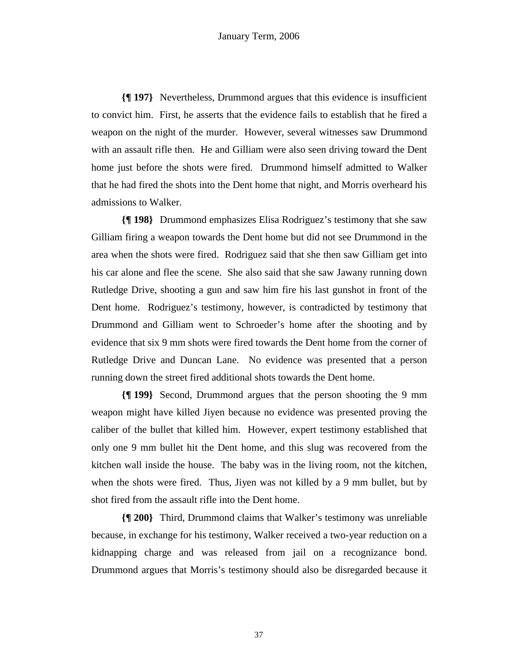**{¶ 197}** Nevertheless, Drummond argues that this evidence is insufficient to convict him. First, he asserts that the evidence fails to establish that he fired a weapon on the night of the murder. However, several witnesses saw Drummond with an assault rifle then. He and Gilliam were also seen driving toward the Dent home just before the shots were fired. Drummond himself admitted to Walker that he had fired the shots into the Dent home that night, and Morris overheard his admissions to Walker.

**{¶ 198}** Drummond emphasizes Elisa Rodriguez's testimony that she saw Gilliam firing a weapon towards the Dent home but did not see Drummond in the area when the shots were fired. Rodriguez said that she then saw Gilliam get into his car alone and flee the scene. She also said that she saw Jawany running down Rutledge Drive, shooting a gun and saw him fire his last gunshot in front of the Dent home. Rodriguez's testimony, however, is contradicted by testimony that Drummond and Gilliam went to Schroeder's home after the shooting and by evidence that six 9 mm shots were fired towards the Dent home from the corner of Rutledge Drive and Duncan Lane. No evidence was presented that a person running down the street fired additional shots towards the Dent home.

**{¶ 199}** Second, Drummond argues that the person shooting the 9 mm weapon might have killed Jiyen because no evidence was presented proving the caliber of the bullet that killed him. However, expert testimony established that only one 9 mm bullet hit the Dent home, and this slug was recovered from the kitchen wall inside the house. The baby was in the living room, not the kitchen, when the shots were fired. Thus, Jiyen was not killed by a 9 mm bullet, but by shot fired from the assault rifle into the Dent home.

**{¶ 200}** Third, Drummond claims that Walker's testimony was unreliable because, in exchange for his testimony, Walker received a two-year reduction on a kidnapping charge and was released from jail on a recognizance bond. Drummond argues that Morris's testimony should also be disregarded because it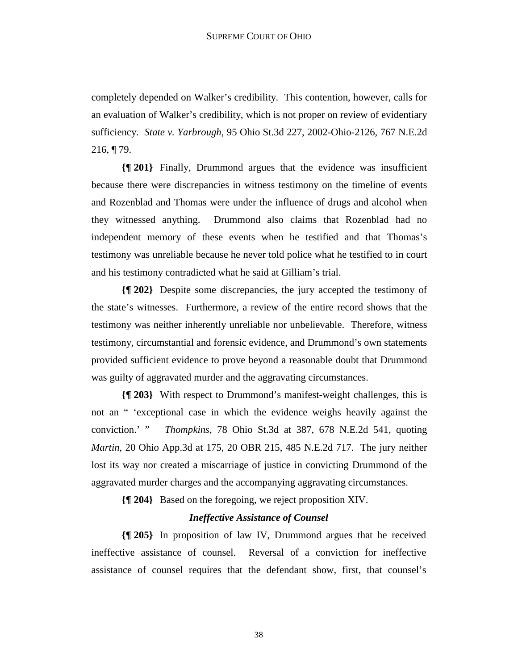completely depended on Walker's credibility. This contention, however, calls for an evaluation of Walker's credibility, which is not proper on review of evidentiary sufficiency. *State v. Yarbrough*, 95 Ohio St.3d 227, 2002-Ohio-2126, 767 N.E.2d 216, ¶ 79.

**{¶ 201}** Finally, Drummond argues that the evidence was insufficient because there were discrepancies in witness testimony on the timeline of events and Rozenblad and Thomas were under the influence of drugs and alcohol when they witnessed anything. Drummond also claims that Rozenblad had no independent memory of these events when he testified and that Thomas's testimony was unreliable because he never told police what he testified to in court and his testimony contradicted what he said at Gilliam's trial.

**{¶ 202}** Despite some discrepancies, the jury accepted the testimony of the state's witnesses. Furthermore, a review of the entire record shows that the testimony was neither inherently unreliable nor unbelievable. Therefore, witness testimony, circumstantial and forensic evidence, and Drummond's own statements provided sufficient evidence to prove beyond a reasonable doubt that Drummond was guilty of aggravated murder and the aggravating circumstances.

**{¶ 203}** With respect to Drummond's manifest-weight challenges, this is not an " 'exceptional case in which the evidence weighs heavily against the conviction.' " *Thompkins*, 78 Ohio St.3d at 387, 678 N.E.2d 541, quoting *Martin*, 20 Ohio App.3d at 175, 20 OBR 215, 485 N.E.2d 717. The jury neither lost its way nor created a miscarriage of justice in convicting Drummond of the aggravated murder charges and the accompanying aggravating circumstances.

**{¶ 204}** Based on the foregoing, we reject proposition XIV.

### *Ineffective Assistance of Counsel*

**{¶ 205}** In proposition of law IV, Drummond argues that he received ineffective assistance of counsel. Reversal of a conviction for ineffective assistance of counsel requires that the defendant show, first, that counsel's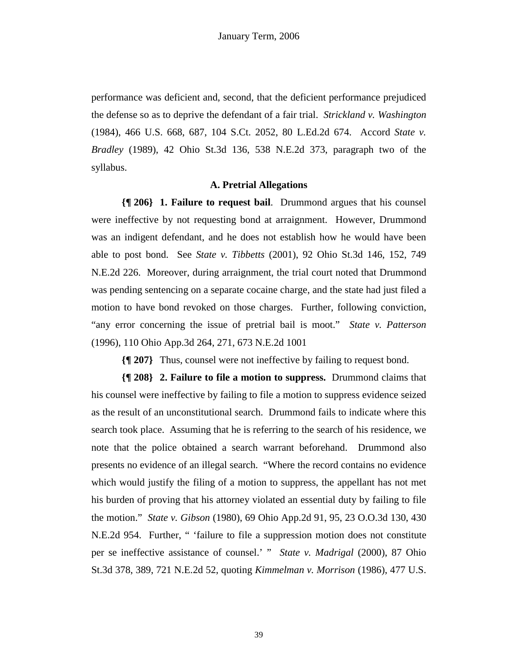performance was deficient and, second, that the deficient performance prejudiced the defense so as to deprive the defendant of a fair trial. *Strickland v. Washington* (1984), 466 U.S. 668, 687, 104 S.Ct. 2052, 80 L.Ed.2d 674. Accord *State v. Bradley* (1989), 42 Ohio St.3d 136, 538 N.E.2d 373, paragraph two of the syllabus.

#### **A. Pretrial Allegations**

**{¶ 206} 1. Failure to request bail**. Drummond argues that his counsel were ineffective by not requesting bond at arraignment. However, Drummond was an indigent defendant, and he does not establish how he would have been able to post bond. See *State v. Tibbetts* (2001), 92 Ohio St.3d 146, 152, 749 N.E.2d 226. Moreover, during arraignment, the trial court noted that Drummond was pending sentencing on a separate cocaine charge, and the state had just filed a motion to have bond revoked on those charges. Further, following conviction, "any error concerning the issue of pretrial bail is moot." *State v. Patterson* (1996), 110 Ohio App.3d 264, 271, 673 N.E.2d 1001

**{¶ 207}** Thus, counsel were not ineffective by failing to request bond.

**{¶ 208} 2. Failure to file a motion to suppress.** Drummond claims that his counsel were ineffective by failing to file a motion to suppress evidence seized as the result of an unconstitutional search. Drummond fails to indicate where this search took place. Assuming that he is referring to the search of his residence, we note that the police obtained a search warrant beforehand. Drummond also presents no evidence of an illegal search. "Where the record contains no evidence which would justify the filing of a motion to suppress, the appellant has not met his burden of proving that his attorney violated an essential duty by failing to file the motion." *State v. Gibson* (1980), 69 Ohio App.2d 91, 95, 23 O.O.3d 130, 430 N.E.2d 954. Further, " 'failure to file a suppression motion does not constitute per se ineffective assistance of counsel.' " *State v. Madrigal* (2000), 87 Ohio St.3d 378, 389, 721 N.E.2d 52, quoting *Kimmelman v. Morrison* (1986), 477 U.S.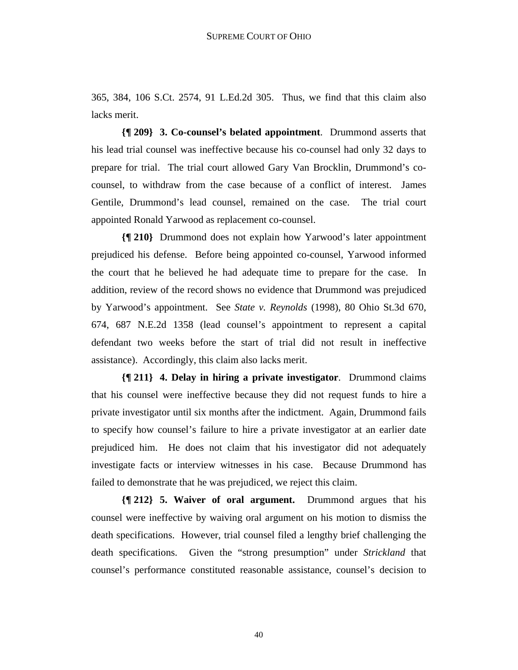365, 384, 106 S.Ct. 2574, 91 L.Ed.2d 305. Thus, we find that this claim also lacks merit.

**{¶ 209} 3. Co-counsel's belated appointment**. Drummond asserts that his lead trial counsel was ineffective because his co-counsel had only 32 days to prepare for trial. The trial court allowed Gary Van Brocklin, Drummond's cocounsel, to withdraw from the case because of a conflict of interest. James Gentile, Drummond's lead counsel, remained on the case. The trial court appointed Ronald Yarwood as replacement co-counsel.

**{¶ 210}** Drummond does not explain how Yarwood's later appointment prejudiced his defense. Before being appointed co-counsel, Yarwood informed the court that he believed he had adequate time to prepare for the case. In addition, review of the record shows no evidence that Drummond was prejudiced by Yarwood's appointment. See *State v. Reynolds* (1998), 80 Ohio St.3d 670, 674, 687 N.E.2d 1358 (lead counsel's appointment to represent a capital defendant two weeks before the start of trial did not result in ineffective assistance). Accordingly, this claim also lacks merit.

**{¶ 211} 4. Delay in hiring a private investigator**. Drummond claims that his counsel were ineffective because they did not request funds to hire a private investigator until six months after the indictment. Again, Drummond fails to specify how counsel's failure to hire a private investigator at an earlier date prejudiced him. He does not claim that his investigator did not adequately investigate facts or interview witnesses in his case. Because Drummond has failed to demonstrate that he was prejudiced, we reject this claim.

**{¶ 212} 5. Waiver of oral argument.** Drummond argues that his counsel were ineffective by waiving oral argument on his motion to dismiss the death specifications. However, trial counsel filed a lengthy brief challenging the death specifications. Given the "strong presumption" under *Strickland* that counsel's performance constituted reasonable assistance, counsel's decision to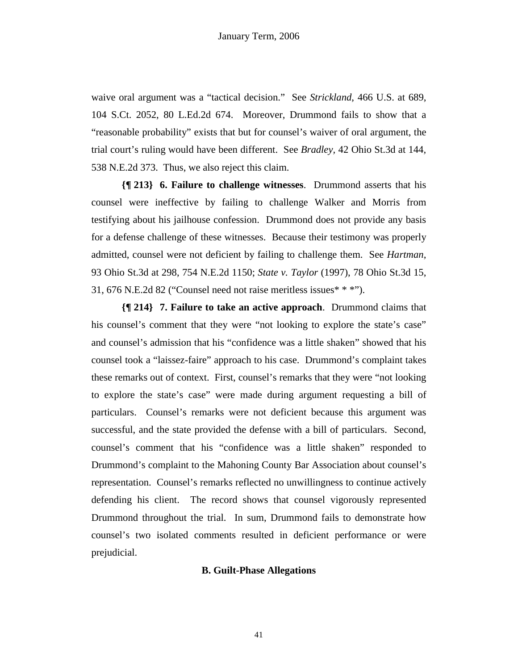waive oral argument was a "tactical decision." See *Strickland*, 466 U.S. at 689, 104 S.Ct. 2052, 80 L.Ed.2d 674. Moreover, Drummond fails to show that a "reasonable probability" exists that but for counsel's waiver of oral argument, the trial court's ruling would have been different. See *Bradley,* 42 Ohio St.3d at 144, 538 N.E.2d 373. Thus, we also reject this claim.

**{¶ 213} 6. Failure to challenge witnesses**. Drummond asserts that his counsel were ineffective by failing to challenge Walker and Morris from testifying about his jailhouse confession. Drummond does not provide any basis for a defense challenge of these witnesses. Because their testimony was properly admitted, counsel were not deficient by failing to challenge them. See *Hartman*, 93 Ohio St.3d at 298, 754 N.E.2d 1150; *State v. Taylor* (1997), 78 Ohio St.3d 15, 31, 676 N.E.2d 82 ("Counsel need not raise meritless issues\* \* \*").

**{¶ 214} 7. Failure to take an active approach**. Drummond claims that his counsel's comment that they were "not looking to explore the state's case" and counsel's admission that his "confidence was a little shaken" showed that his counsel took a "laissez-faire" approach to his case. Drummond's complaint takes these remarks out of context. First, counsel's remarks that they were "not looking to explore the state's case" were made during argument requesting a bill of particulars. Counsel's remarks were not deficient because this argument was successful, and the state provided the defense with a bill of particulars. Second, counsel's comment that his "confidence was a little shaken" responded to Drummond's complaint to the Mahoning County Bar Association about counsel's representation. Counsel's remarks reflected no unwillingness to continue actively defending his client. The record shows that counsel vigorously represented Drummond throughout the trial. In sum, Drummond fails to demonstrate how counsel's two isolated comments resulted in deficient performance or were prejudicial.

### **B. Guilt-Phase Allegations**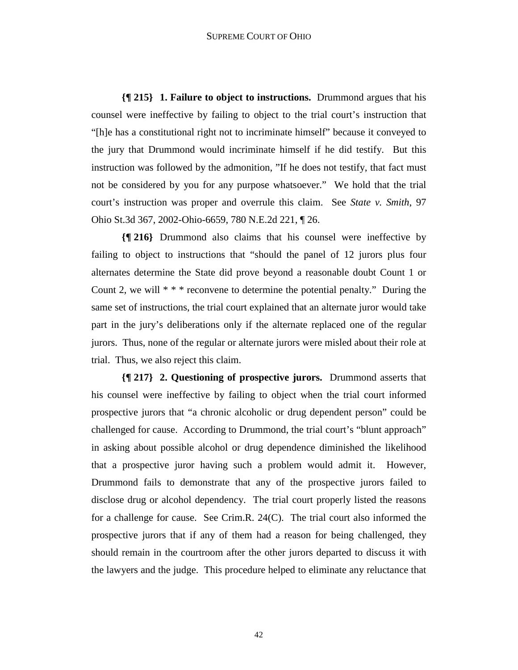**{¶ 215} 1. Failure to object to instructions.** Drummond argues that his counsel were ineffective by failing to object to the trial court's instruction that "[h]e has a constitutional right not to incriminate himself" because it conveyed to the jury that Drummond would incriminate himself if he did testify. But this instruction was followed by the admonition, "If he does not testify, that fact must not be considered by you for any purpose whatsoever." We hold that the trial court's instruction was proper and overrule this claim. See *State v. Smith*, 97 Ohio St.3d 367, 2002-Ohio-6659, 780 N.E.2d 221, ¶ 26.

**{¶ 216}** Drummond also claims that his counsel were ineffective by failing to object to instructions that "should the panel of 12 jurors plus four alternates determine the State did prove beyond a reasonable doubt Count 1 or Count 2, we will  $**$  reconvene to determine the potential penalty." During the same set of instructions, the trial court explained that an alternate juror would take part in the jury's deliberations only if the alternate replaced one of the regular jurors. Thus, none of the regular or alternate jurors were misled about their role at trial. Thus, we also reject this claim.

**{¶ 217} 2. Questioning of prospective jurors.** Drummond asserts that his counsel were ineffective by failing to object when the trial court informed prospective jurors that "a chronic alcoholic or drug dependent person" could be challenged for cause. According to Drummond, the trial court's "blunt approach" in asking about possible alcohol or drug dependence diminished the likelihood that a prospective juror having such a problem would admit it. However, Drummond fails to demonstrate that any of the prospective jurors failed to disclose drug or alcohol dependency. The trial court properly listed the reasons for a challenge for cause. See Crim.R. 24(C). The trial court also informed the prospective jurors that if any of them had a reason for being challenged, they should remain in the courtroom after the other jurors departed to discuss it with the lawyers and the judge. This procedure helped to eliminate any reluctance that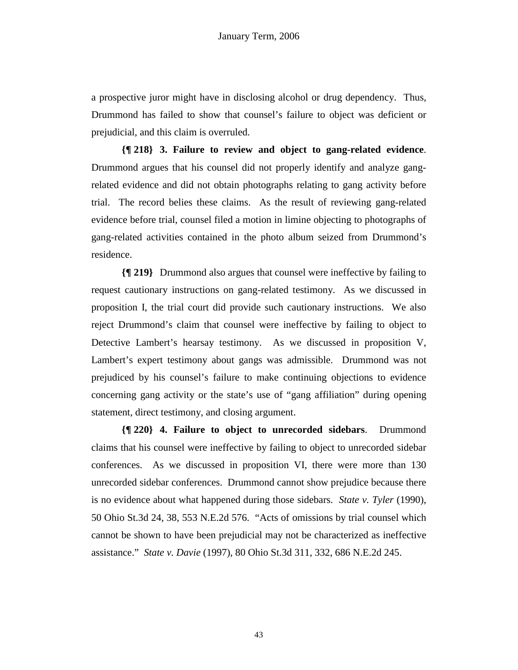a prospective juror might have in disclosing alcohol or drug dependency. Thus, Drummond has failed to show that counsel's failure to object was deficient or prejudicial, and this claim is overruled.

**{¶ 218} 3. Failure to review and object to gang-related evidence**. Drummond argues that his counsel did not properly identify and analyze gangrelated evidence and did not obtain photographs relating to gang activity before trial. The record belies these claims. As the result of reviewing gang-related evidence before trial, counsel filed a motion in limine objecting to photographs of gang-related activities contained in the photo album seized from Drummond's residence.

**{¶ 219}** Drummond also argues that counsel were ineffective by failing to request cautionary instructions on gang-related testimony. As we discussed in proposition I, the trial court did provide such cautionary instructions. We also reject Drummond's claim that counsel were ineffective by failing to object to Detective Lambert's hearsay testimony. As we discussed in proposition V, Lambert's expert testimony about gangs was admissible. Drummond was not prejudiced by his counsel's failure to make continuing objections to evidence concerning gang activity or the state's use of "gang affiliation" during opening statement, direct testimony, and closing argument.

**{¶ 220} 4. Failure to object to unrecorded sidebars**. Drummond claims that his counsel were ineffective by failing to object to unrecorded sidebar conferences. As we discussed in proposition VI, there were more than 130 unrecorded sidebar conferences. Drummond cannot show prejudice because there is no evidence about what happened during those sidebars. *State v. Tyler* (1990), 50 Ohio St.3d 24, 38, 553 N.E.2d 576. "Acts of omissions by trial counsel which cannot be shown to have been prejudicial may not be characterized as ineffective assistance." *State v. Davie* (1997), 80 Ohio St.3d 311, 332, 686 N.E.2d 245.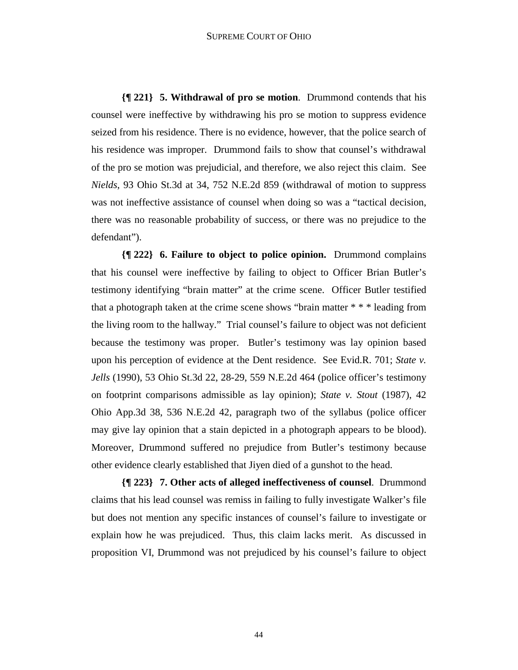**{¶ 221} 5. Withdrawal of pro se motion**. Drummond contends that his counsel were ineffective by withdrawing his pro se motion to suppress evidence seized from his residence. There is no evidence, however, that the police search of his residence was improper. Drummond fails to show that counsel's withdrawal of the pro se motion was prejudicial, and therefore, we also reject this claim. See *Nields*, 93 Ohio St.3d at 34, 752 N.E.2d 859 (withdrawal of motion to suppress was not ineffective assistance of counsel when doing so was a "tactical decision, there was no reasonable probability of success, or there was no prejudice to the defendant").

**{¶ 222} 6. Failure to object to police opinion.** Drummond complains that his counsel were ineffective by failing to object to Officer Brian Butler's testimony identifying "brain matter" at the crime scene. Officer Butler testified that a photograph taken at the crime scene shows "brain matter \* \* \* leading from the living room to the hallway." Trial counsel's failure to object was not deficient because the testimony was proper. Butler's testimony was lay opinion based upon his perception of evidence at the Dent residence. See Evid.R. 701; *State v. Jells* (1990), 53 Ohio St.3d 22, 28-29, 559 N.E.2d 464 (police officer's testimony on footprint comparisons admissible as lay opinion); *State v. Stout* (1987), 42 Ohio App.3d 38, 536 N.E.2d 42, paragraph two of the syllabus (police officer may give lay opinion that a stain depicted in a photograph appears to be blood). Moreover, Drummond suffered no prejudice from Butler's testimony because other evidence clearly established that Jiyen died of a gunshot to the head.

**{¶ 223} 7. Other acts of alleged ineffectiveness of counsel**. Drummond claims that his lead counsel was remiss in failing to fully investigate Walker's file but does not mention any specific instances of counsel's failure to investigate or explain how he was prejudiced. Thus, this claim lacks merit. As discussed in proposition VI, Drummond was not prejudiced by his counsel's failure to object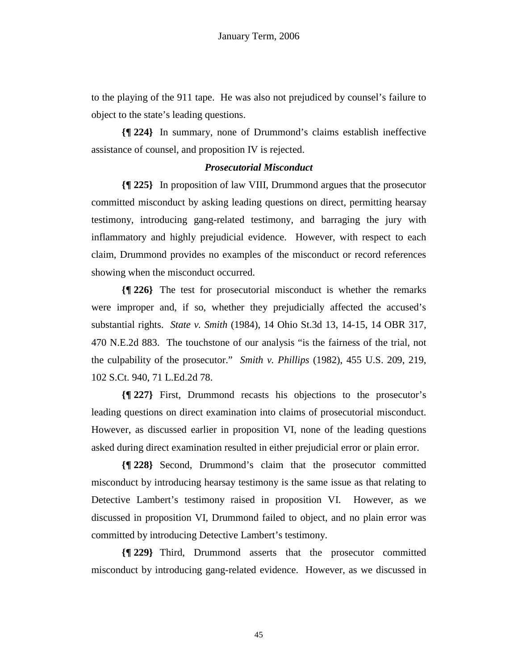to the playing of the 911 tape. He was also not prejudiced by counsel's failure to object to the state's leading questions.

**{¶ 224}** In summary, none of Drummond's claims establish ineffective assistance of counsel, and proposition IV is rejected.

## *Prosecutorial Misconduct*

**{¶ 225}** In proposition of law VIII, Drummond argues that the prosecutor committed misconduct by asking leading questions on direct, permitting hearsay testimony, introducing gang-related testimony, and barraging the jury with inflammatory and highly prejudicial evidence. However, with respect to each claim, Drummond provides no examples of the misconduct or record references showing when the misconduct occurred.

**{¶ 226}** The test for prosecutorial misconduct is whether the remarks were improper and, if so, whether they prejudicially affected the accused's substantial rights. *State v. Smith* (1984), 14 Ohio St.3d 13, 14-15, 14 OBR 317, 470 N.E.2d 883. The touchstone of our analysis "is the fairness of the trial, not the culpability of the prosecutor." *Smith v. Phillips* (1982), 455 U.S. 209, 219, 102 S.Ct. 940, 71 L.Ed.2d 78.

**{¶ 227}** First, Drummond recasts his objections to the prosecutor's leading questions on direct examination into claims of prosecutorial misconduct. However, as discussed earlier in proposition VI, none of the leading questions asked during direct examination resulted in either prejudicial error or plain error.

**{¶ 228}** Second, Drummond's claim that the prosecutor committed misconduct by introducing hearsay testimony is the same issue as that relating to Detective Lambert's testimony raised in proposition VI. However, as we discussed in proposition VI, Drummond failed to object, and no plain error was committed by introducing Detective Lambert's testimony.

**{¶ 229}** Third, Drummond asserts that the prosecutor committed misconduct by introducing gang-related evidence. However, as we discussed in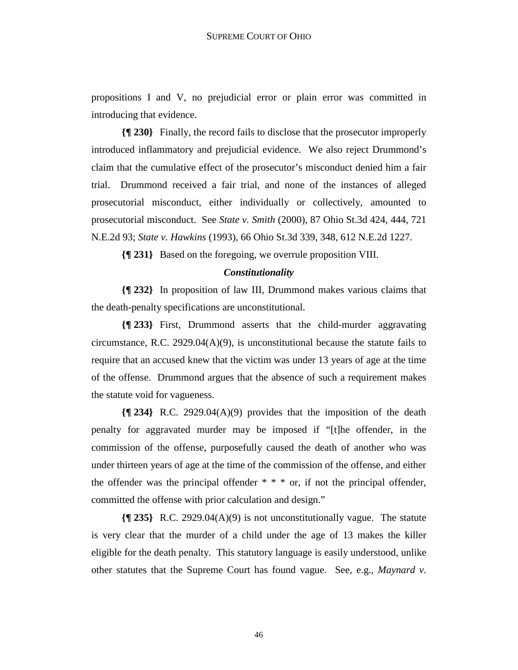propositions I and V, no prejudicial error or plain error was committed in introducing that evidence.

**{¶ 230}** Finally, the record fails to disclose that the prosecutor improperly introduced inflammatory and prejudicial evidence. We also reject Drummond's claim that the cumulative effect of the prosecutor's misconduct denied him a fair trial. Drummond received a fair trial, and none of the instances of alleged prosecutorial misconduct, either individually or collectively, amounted to prosecutorial misconduct. See *State v. Smith* (2000), 87 Ohio St.3d 424, 444, 721 N.E.2d 93; *State v. Hawkins* (1993), 66 Ohio St.3d 339, 348, 612 N.E.2d 1227.

**{¶ 231}** Based on the foregoing, we overrule proposition VIII.

### *Constitutionality*

**{¶ 232}** In proposition of law III, Drummond makes various claims that the death-penalty specifications are unconstitutional.

**{¶ 233}** First, Drummond asserts that the child-murder aggravating circumstance, R.C. 2929.04(A)(9), is unconstitutional because the statute fails to require that an accused knew that the victim was under 13 years of age at the time of the offense. Drummond argues that the absence of such a requirement makes the statute void for vagueness.

**{¶ 234}** R.C. 2929.04(A)(9) provides that the imposition of the death penalty for aggravated murder may be imposed if "[t]he offender, in the commission of the offense, purposefully caused the death of another who was under thirteen years of age at the time of the commission of the offense, and either the offender was the principal offender  $* * *$  or, if not the principal offender, committed the offense with prior calculation and design."

**{¶ 235}** R.C. 2929.04(A)(9) is not unconstitutionally vague. The statute is very clear that the murder of a child under the age of 13 makes the killer eligible for the death penalty. This statutory language is easily understood, unlike other statutes that the Supreme Court has found vague. See, e.g., *Maynard v.*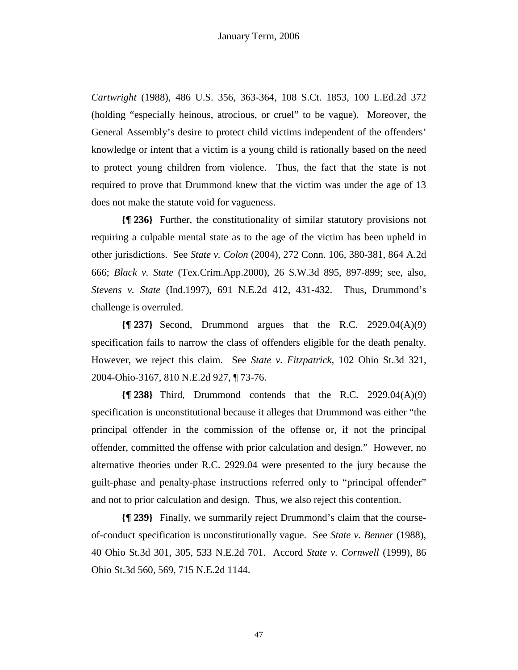*Cartwright* (1988), 486 U.S. 356, 363-364, 108 S.Ct. 1853, 100 L.Ed.2d 372 (holding "especially heinous, atrocious, or cruel" to be vague). Moreover, the General Assembly's desire to protect child victims independent of the offenders' knowledge or intent that a victim is a young child is rationally based on the need to protect young children from violence. Thus, the fact that the state is not required to prove that Drummond knew that the victim was under the age of 13 does not make the statute void for vagueness.

**{¶ 236}** Further, the constitutionality of similar statutory provisions not requiring a culpable mental state as to the age of the victim has been upheld in other jurisdictions. See *State v. Colon* (2004), 272 Conn. 106, 380-381, 864 A.2d 666; *Black v. State* (Tex.Crim.App.2000), 26 S.W.3d 895, 897-899; see, also, *Stevens v. State* (Ind.1997), 691 N.E.2d 412, 431-432. Thus, Drummond's challenge is overruled.

**{¶ 237}** Second, Drummond argues that the R.C. 2929.04(A)(9) specification fails to narrow the class of offenders eligible for the death penalty. However, we reject this claim. See *State v. Fitzpatrick*, 102 Ohio St.3d 321, 2004-Ohio-3167, 810 N.E.2d 927, ¶ 73-76.

**{¶ 238}** Third, Drummond contends that the R.C. 2929.04(A)(9) specification is unconstitutional because it alleges that Drummond was either "the principal offender in the commission of the offense or, if not the principal offender, committed the offense with prior calculation and design." However, no alternative theories under R.C. 2929.04 were presented to the jury because the guilt-phase and penalty-phase instructions referred only to "principal offender" and not to prior calculation and design. Thus, we also reject this contention.

**{¶ 239}** Finally, we summarily reject Drummond's claim that the courseof-conduct specification is unconstitutionally vague. See *State v. Benner* (1988), 40 Ohio St.3d 301, 305, 533 N.E.2d 701. Accord *State v. Cornwell* (1999), 86 Ohio St.3d 560, 569, 715 N.E.2d 1144.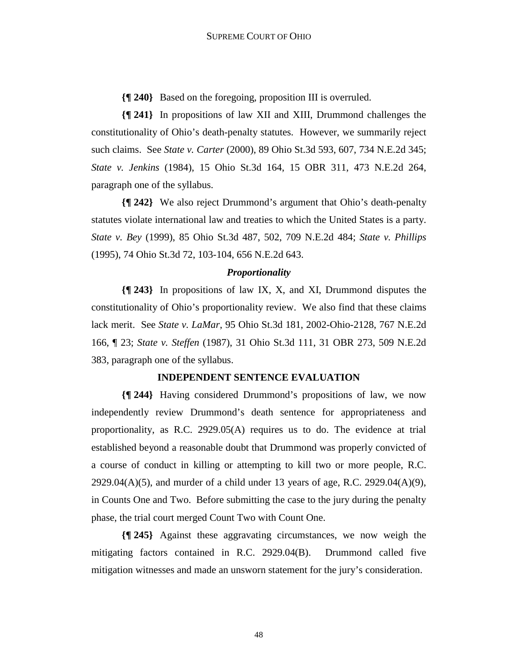**{¶ 240}** Based on the foregoing, proposition III is overruled.

**{¶ 241}** In propositions of law XII and XIII, Drummond challenges the constitutionality of Ohio's death-penalty statutes. However, we summarily reject such claims. See *State v. Carter* (2000), 89 Ohio St.3d 593, 607, 734 N.E.2d 345; *State v. Jenkins* (1984), 15 Ohio St.3d 164, 15 OBR 311, 473 N.E.2d 264, paragraph one of the syllabus.

**{¶ 242}** We also reject Drummond's argument that Ohio's death-penalty statutes violate international law and treaties to which the United States is a party. *State v. Bey* (1999), 85 Ohio St.3d 487, 502, 709 N.E.2d 484; *State v. Phillips* (1995), 74 Ohio St.3d 72, 103-104, 656 N.E.2d 643.

## *Proportionality*

**{¶ 243}** In propositions of law IX, X, and XI, Drummond disputes the constitutionality of Ohio's proportionality review. We also find that these claims lack merit. See *State v. LaMar*, 95 Ohio St.3d 181, 2002-Ohio-2128, 767 N.E.2d 166, ¶ 23; *State v. Steffen* (1987), 31 Ohio St.3d 111, 31 OBR 273, 509 N.E.2d 383, paragraph one of the syllabus.

## **INDEPENDENT SENTENCE EVALUATION**

**{¶ 244}** Having considered Drummond's propositions of law, we now independently review Drummond's death sentence for appropriateness and proportionality, as R.C. 2929.05(A) requires us to do. The evidence at trial established beyond a reasonable doubt that Drummond was properly convicted of a course of conduct in killing or attempting to kill two or more people, R.C.  $2929.04(A)(5)$ , and murder of a child under 13 years of age, R.C. 2929.04(A)(9), in Counts One and Two. Before submitting the case to the jury during the penalty phase, the trial court merged Count Two with Count One.

**{¶ 245}** Against these aggravating circumstances, we now weigh the mitigating factors contained in R.C. 2929.04(B). Drummond called five mitigation witnesses and made an unsworn statement for the jury's consideration.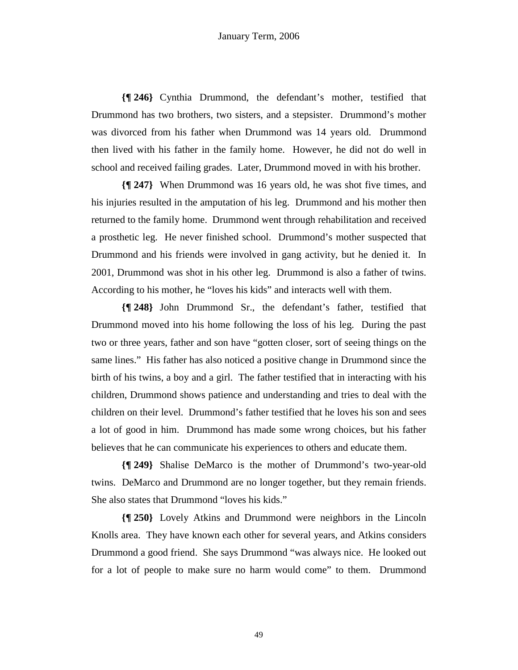**{¶ 246}** Cynthia Drummond, the defendant's mother, testified that Drummond has two brothers, two sisters, and a stepsister. Drummond's mother was divorced from his father when Drummond was 14 years old. Drummond then lived with his father in the family home. However, he did not do well in school and received failing grades. Later, Drummond moved in with his brother.

**{¶ 247}** When Drummond was 16 years old, he was shot five times, and his injuries resulted in the amputation of his leg. Drummond and his mother then returned to the family home. Drummond went through rehabilitation and received a prosthetic leg. He never finished school. Drummond's mother suspected that Drummond and his friends were involved in gang activity, but he denied it. In 2001, Drummond was shot in his other leg. Drummond is also a father of twins. According to his mother, he "loves his kids" and interacts well with them.

**{¶ 248}** John Drummond Sr., the defendant's father, testified that Drummond moved into his home following the loss of his leg. During the past two or three years, father and son have "gotten closer, sort of seeing things on the same lines." His father has also noticed a positive change in Drummond since the birth of his twins, a boy and a girl. The father testified that in interacting with his children, Drummond shows patience and understanding and tries to deal with the children on their level. Drummond's father testified that he loves his son and sees a lot of good in him. Drummond has made some wrong choices, but his father believes that he can communicate his experiences to others and educate them.

**{¶ 249}** Shalise DeMarco is the mother of Drummond's two-year-old twins. DeMarco and Drummond are no longer together, but they remain friends. She also states that Drummond "loves his kids."

**{¶ 250}** Lovely Atkins and Drummond were neighbors in the Lincoln Knolls area. They have known each other for several years, and Atkins considers Drummond a good friend. She says Drummond "was always nice. He looked out for a lot of people to make sure no harm would come" to them. Drummond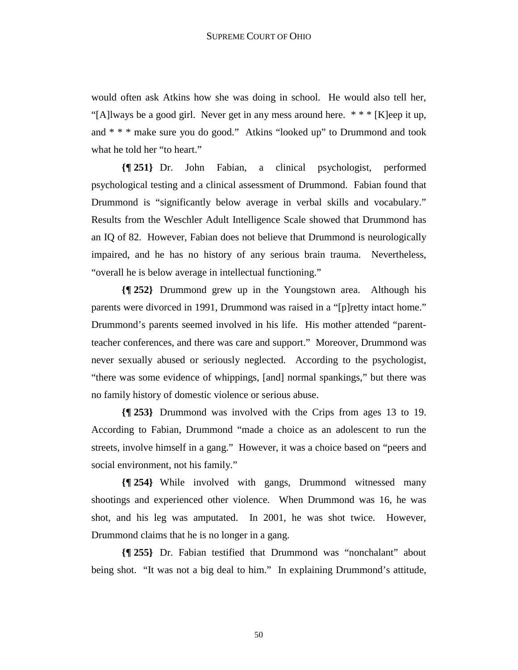would often ask Atkins how she was doing in school. He would also tell her, "[A]lways be a good girl. Never get in any mess around here. \* \* \* [K]eep it up, and \* \* \* make sure you do good." Atkins "looked up" to Drummond and took what he told her "to heart."

**{¶ 251}** Dr. John Fabian, a clinical psychologist, performed psychological testing and a clinical assessment of Drummond. Fabian found that Drummond is "significantly below average in verbal skills and vocabulary." Results from the Weschler Adult Intelligence Scale showed that Drummond has an IQ of 82. However, Fabian does not believe that Drummond is neurologically impaired, and he has no history of any serious brain trauma. Nevertheless, "overall he is below average in intellectual functioning."

**{¶ 252}** Drummond grew up in the Youngstown area. Although his parents were divorced in 1991, Drummond was raised in a "[p]retty intact home." Drummond's parents seemed involved in his life. His mother attended "parentteacher conferences, and there was care and support." Moreover, Drummond was never sexually abused or seriously neglected. According to the psychologist, "there was some evidence of whippings, [and] normal spankings," but there was no family history of domestic violence or serious abuse.

**{¶ 253}** Drummond was involved with the Crips from ages 13 to 19. According to Fabian, Drummond "made a choice as an adolescent to run the streets, involve himself in a gang." However, it was a choice based on "peers and social environment, not his family."

**{¶ 254}** While involved with gangs, Drummond witnessed many shootings and experienced other violence. When Drummond was 16, he was shot, and his leg was amputated. In 2001, he was shot twice. However, Drummond claims that he is no longer in a gang.

**{¶ 255}** Dr. Fabian testified that Drummond was "nonchalant" about being shot. "It was not a big deal to him." In explaining Drummond's attitude,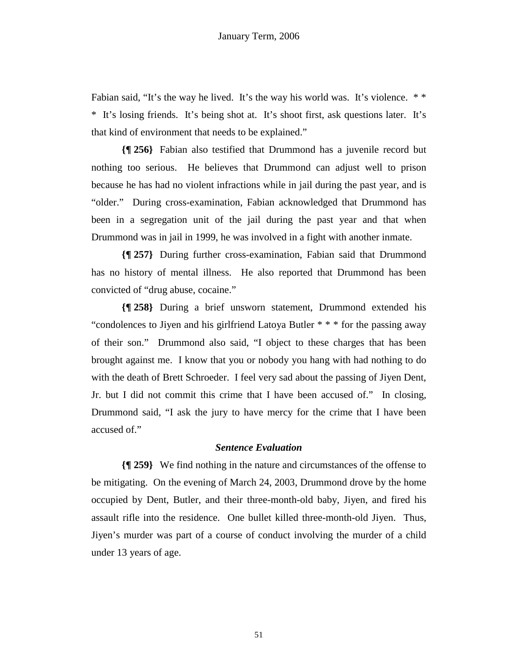Fabian said, "It's the way he lived. It's the way his world was. It's violence. \*\* \* It's losing friends. It's being shot at. It's shoot first, ask questions later. It's that kind of environment that needs to be explained."

**{¶ 256}** Fabian also testified that Drummond has a juvenile record but nothing too serious. He believes that Drummond can adjust well to prison because he has had no violent infractions while in jail during the past year, and is "older." During cross-examination, Fabian acknowledged that Drummond has been in a segregation unit of the jail during the past year and that when Drummond was in jail in 1999, he was involved in a fight with another inmate.

**{¶ 257}** During further cross-examination, Fabian said that Drummond has no history of mental illness. He also reported that Drummond has been convicted of "drug abuse, cocaine."

**{¶ 258}** During a brief unsworn statement, Drummond extended his "condolences to Jiyen and his girlfriend Latoya Butler \* \* \* for the passing away of their son." Drummond also said, "I object to these charges that has been brought against me. I know that you or nobody you hang with had nothing to do with the death of Brett Schroeder. I feel very sad about the passing of Jiyen Dent, Jr. but I did not commit this crime that I have been accused of." In closing, Drummond said, "I ask the jury to have mercy for the crime that I have been accused of."

#### *Sentence Evaluation*

**{¶ 259}** We find nothing in the nature and circumstances of the offense to be mitigating. On the evening of March 24, 2003, Drummond drove by the home occupied by Dent, Butler, and their three-month-old baby, Jiyen, and fired his assault rifle into the residence. One bullet killed three-month-old Jiyen. Thus, Jiyen's murder was part of a course of conduct involving the murder of a child under 13 years of age.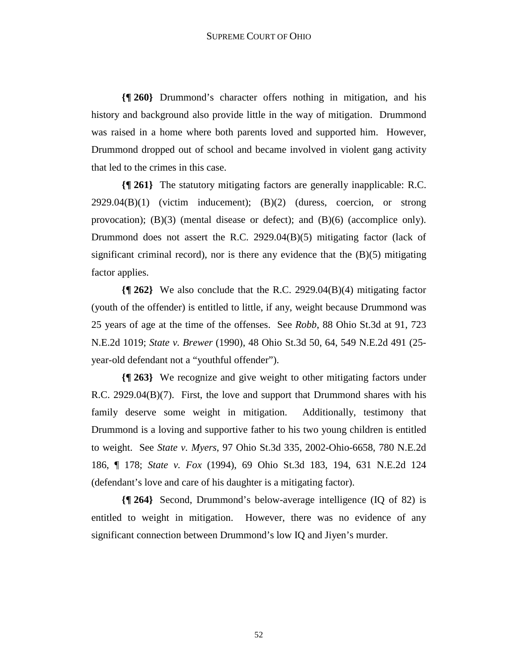**{¶ 260}** Drummond's character offers nothing in mitigation, and his history and background also provide little in the way of mitigation. Drummond was raised in a home where both parents loved and supported him. However, Drummond dropped out of school and became involved in violent gang activity that led to the crimes in this case.

**{¶ 261}** The statutory mitigating factors are generally inapplicable: R.C.  $2929.04(B)(1)$  (victim inducement);  $(B)(2)$  (duress, coercion, or strong provocation); (B)(3) (mental disease or defect); and (B)(6) (accomplice only). Drummond does not assert the R.C. 2929.04(B)(5) mitigating factor (lack of significant criminal record), nor is there any evidence that the  $(B)(5)$  mitigating factor applies.

**{¶ 262}** We also conclude that the R.C. 2929.04(B)(4) mitigating factor (youth of the offender) is entitled to little, if any, weight because Drummond was 25 years of age at the time of the offenses. See *Robb*, 88 Ohio St.3d at 91, 723 N.E.2d 1019; *State v. Brewer* (1990), 48 Ohio St.3d 50, 64, 549 N.E.2d 491 (25 year-old defendant not a "youthful offender").

**{¶ 263}** We recognize and give weight to other mitigating factors under R.C. 2929.04(B)(7). First, the love and support that Drummond shares with his family deserve some weight in mitigation. Additionally, testimony that Drummond is a loving and supportive father to his two young children is entitled to weight. See *State v. Myers*, 97 Ohio St.3d 335, 2002-Ohio-6658, 780 N.E.2d 186, ¶ 178; *State v. Fox* (1994), 69 Ohio St.3d 183, 194, 631 N.E.2d 124 (defendant's love and care of his daughter is a mitigating factor).

**{¶ 264}** Second, Drummond's below-average intelligence (IQ of 82) is entitled to weight in mitigation. However, there was no evidence of any significant connection between Drummond's low IQ and Jiyen's murder.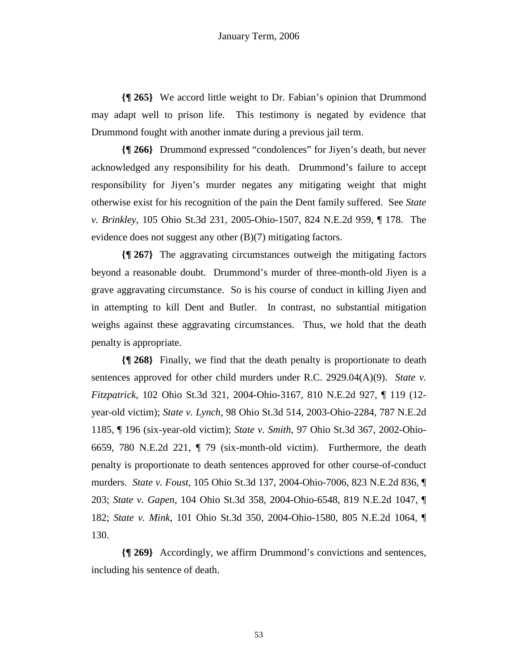**{¶ 265}** We accord little weight to Dr. Fabian's opinion that Drummond may adapt well to prison life. This testimony is negated by evidence that Drummond fought with another inmate during a previous jail term.

**{¶ 266}** Drummond expressed "condolences" for Jiyen's death, but never acknowledged any responsibility for his death. Drummond's failure to accept responsibility for Jiyen's murder negates any mitigating weight that might otherwise exist for his recognition of the pain the Dent family suffered. See *State v. Brinkley*, 105 Ohio St.3d 231, 2005-Ohio-1507, 824 N.E.2d 959, ¶ 178. The evidence does not suggest any other (B)(7) mitigating factors.

**{¶ 267}** The aggravating circumstances outweigh the mitigating factors beyond a reasonable doubt. Drummond's murder of three-month-old Jiyen is a grave aggravating circumstance. So is his course of conduct in killing Jiyen and in attempting to kill Dent and Butler. In contrast, no substantial mitigation weighs against these aggravating circumstances. Thus, we hold that the death penalty is appropriate.

**{¶ 268}** Finally, we find that the death penalty is proportionate to death sentences approved for other child murders under R.C. 2929.04(A)(9). *State v. Fitzpatrick*, 102 Ohio St.3d 321, 2004-Ohio-3167, 810 N.E.2d 927, ¶ 119 (12 year-old victim); *State v. Lynch*, 98 Ohio St.3d 514, 2003-Ohio-2284, 787 N.E.2d 1185, ¶ 196 (six-year-old victim); *State v. Smith*, 97 Ohio St.3d 367, 2002-Ohio-6659, 780 N.E.2d 221, ¶ 79 (six-month-old victim). Furthermore, the death penalty is proportionate to death sentences approved for other course-of-conduct murders. *State v. Foust*, 105 Ohio St.3d 137, 2004-Ohio-7006, 823 N.E.2d 836, ¶ 203; *State v. Gapen*, 104 Ohio St.3d 358, 2004-Ohio-6548, 819 N.E.2d 1047, ¶ 182; *State v. Mink*, 101 Ohio St.3d 350, 2004-Ohio-1580, 805 N.E.2d 1064, ¶ 130.

**{¶ 269}** Accordingly, we affirm Drummond's convictions and sentences, including his sentence of death.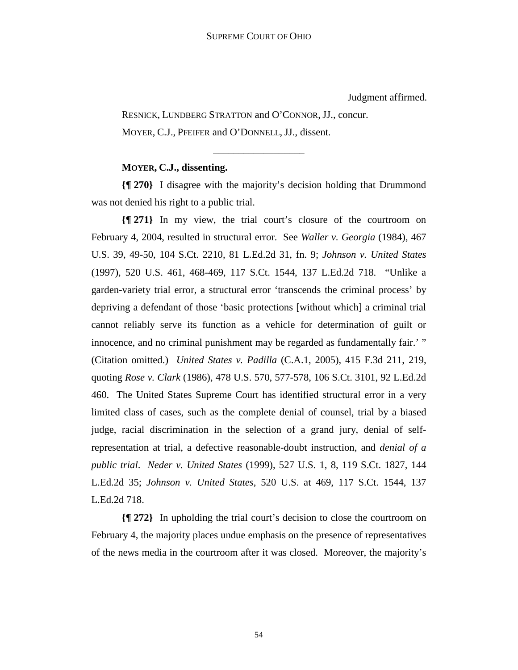Judgment affirmed.

 RESNICK, LUNDBERG STRATTON and O'CONNOR, JJ., concur. MOYER, C.J., PFEIFER and O'DONNELL, JJ., dissent.

# **MOYER, C.J., dissenting.**

**{¶ 270}** I disagree with the majority's decision holding that Drummond was not denied his right to a public trial.

\_\_\_\_\_\_\_\_\_\_\_\_\_\_\_\_\_\_

**{¶ 271}** In my view, the trial court's closure of the courtroom on February 4, 2004, resulted in structural error. See *Waller v. Georgia* (1984), 467 U.S. 39, 49-50, 104 S.Ct. 2210, 81 L.Ed.2d 31, fn. 9; *Johnson v. United States* (1997), 520 U.S. 461, 468-469, 117 S.Ct. 1544, 137 L.Ed.2d 718. "Unlike a garden-variety trial error, a structural error 'transcends the criminal process' by depriving a defendant of those 'basic protections [without which] a criminal trial cannot reliably serve its function as a vehicle for determination of guilt or innocence, and no criminal punishment may be regarded as fundamentally fair.' " (Citation omitted.) *United States v. Padilla* (C.A.1, 2005), 415 F.3d 211, 219, quoting *Rose v. Clark* (1986), 478 U.S. 570, 577-578, 106 S.Ct. 3101, 92 L.Ed.2d 460. The United States Supreme Court has identified structural error in a very limited class of cases, such as the complete denial of counsel, trial by a biased judge, racial discrimination in the selection of a grand jury, denial of selfrepresentation at trial, a defective reasonable-doubt instruction, and *denial of a public trial*. *Neder v. United States* (1999), 527 U.S. 1, 8, 119 S.Ct. 1827, 144 L.Ed.2d 35; *Johnson v. United States*, 520 U.S. at 469, 117 S.Ct. 1544, 137 L.Ed.2d 718.

**{¶ 272}** In upholding the trial court's decision to close the courtroom on February 4, the majority places undue emphasis on the presence of representatives of the news media in the courtroom after it was closed. Moreover, the majority's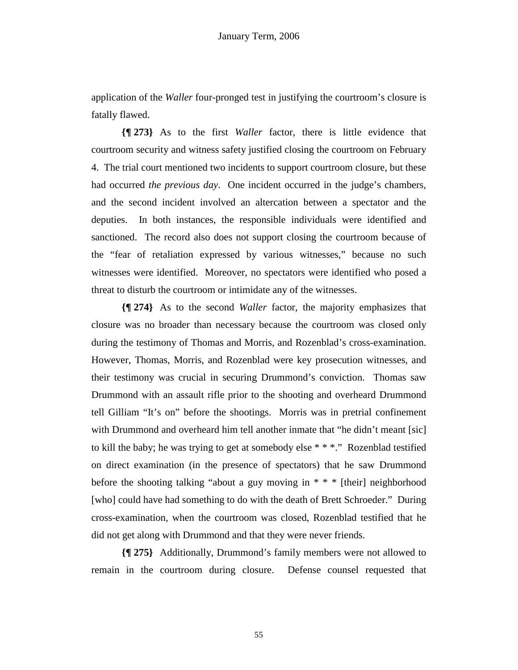application of the *Waller* four-pronged test in justifying the courtroom's closure is fatally flawed.

**{¶ 273}** As to the first *Waller* factor, there is little evidence that courtroom security and witness safety justified closing the courtroom on February 4. The trial court mentioned two incidents to support courtroom closure, but these had occurred *the previous day*. One incident occurred in the judge's chambers, and the second incident involved an altercation between a spectator and the deputies. In both instances, the responsible individuals were identified and sanctioned. The record also does not support closing the courtroom because of the "fear of retaliation expressed by various witnesses," because no such witnesses were identified. Moreover, no spectators were identified who posed a threat to disturb the courtroom or intimidate any of the witnesses.

**{¶ 274}** As to the second *Waller* factor, the majority emphasizes that closure was no broader than necessary because the courtroom was closed only during the testimony of Thomas and Morris, and Rozenblad's cross-examination. However, Thomas, Morris, and Rozenblad were key prosecution witnesses, and their testimony was crucial in securing Drummond's conviction. Thomas saw Drummond with an assault rifle prior to the shooting and overheard Drummond tell Gilliam "It's on" before the shootings. Morris was in pretrial confinement with Drummond and overheard him tell another inmate that "he didn't meant [sic] to kill the baby; he was trying to get at somebody else \* \* \*." Rozenblad testified on direct examination (in the presence of spectators) that he saw Drummond before the shooting talking "about a guy moving in \* \* \* [their] neighborhood [who] could have had something to do with the death of Brett Schroeder." During cross-examination, when the courtroom was closed, Rozenblad testified that he did not get along with Drummond and that they were never friends.

**{¶ 275}** Additionally, Drummond's family members were not allowed to remain in the courtroom during closure. Defense counsel requested that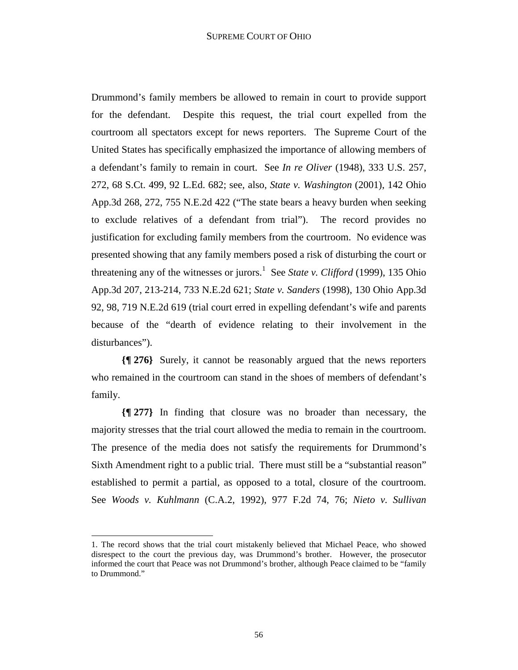Drummond's family members be allowed to remain in court to provide support for the defendant. Despite this request, the trial court expelled from the courtroom all spectators except for news reporters. The Supreme Court of the United States has specifically emphasized the importance of allowing members of a defendant's family to remain in court. See *In re Oliver* (1948), 333 U.S. 257, 272, 68 S.Ct. 499, 92 L.Ed. 682; see, also, *State v. Washington* (2001), 142 Ohio App.3d 268, 272, 755 N.E.2d 422 ("The state bears a heavy burden when seeking to exclude relatives of a defendant from trial"). The record provides no justification for excluding family members from the courtroom. No evidence was presented showing that any family members posed a risk of disturbing the court or threatening any of the witnesses or jurors.<sup>1</sup> See *State v. Clifford* (1999), 135 Ohio App.3d 207, 213-214, 733 N.E.2d 621; *State v. Sanders* (1998), 130 Ohio App.3d 92, 98, 719 N.E.2d 619 (trial court erred in expelling defendant's wife and parents because of the "dearth of evidence relating to their involvement in the disturbances").

**{¶ 276}** Surely, it cannot be reasonably argued that the news reporters who remained in the courtroom can stand in the shoes of members of defendant's family.

**{¶ 277}** In finding that closure was no broader than necessary, the majority stresses that the trial court allowed the media to remain in the courtroom. The presence of the media does not satisfy the requirements for Drummond's Sixth Amendment right to a public trial. There must still be a "substantial reason" established to permit a partial, as opposed to a total, closure of the courtroom. See *Woods v. Kuhlmann* (C.A.2, 1992), 977 F.2d 74, 76; *Nieto v. Sullivan*

 $\overline{a}$ 

<sup>1.</sup> The record shows that the trial court mistakenly believed that Michael Peace, who showed disrespect to the court the previous day, was Drummond's brother. However, the prosecutor informed the court that Peace was not Drummond's brother, although Peace claimed to be "family to Drummond."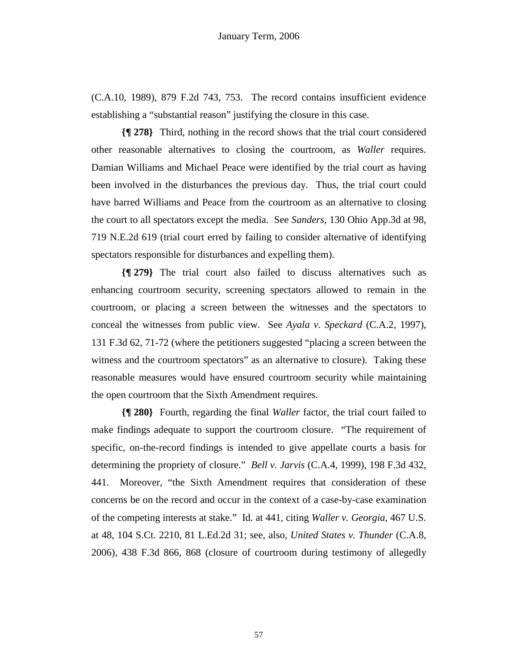(C.A.10, 1989), 879 F.2d 743, 753. The record contains insufficient evidence establishing a "substantial reason" justifying the closure in this case.

**{¶ 278}** Third, nothing in the record shows that the trial court considered other reasonable alternatives to closing the courtroom, as *Waller* requires. Damian Williams and Michael Peace were identified by the trial court as having been involved in the disturbances the previous day. Thus, the trial court could have barred Williams and Peace from the courtroom as an alternative to closing the court to all spectators except the media. See *Sanders*, 130 Ohio App.3d at 98, 719 N.E.2d 619 (trial court erred by failing to consider alternative of identifying spectators responsible for disturbances and expelling them).

**{¶ 279}** The trial court also failed to discuss alternatives such as enhancing courtroom security, screening spectators allowed to remain in the courtroom, or placing a screen between the witnesses and the spectators to conceal the witnesses from public view. See *Ayala v. Speckard* (C.A.2, 1997), 131 F.3d 62, 71-72 (where the petitioners suggested "placing a screen between the witness and the courtroom spectators" as an alternative to closure). Taking these reasonable measures would have ensured courtroom security while maintaining the open courtroom that the Sixth Amendment requires.

**{¶ 280}** Fourth, regarding the final *Waller* factor, the trial court failed to make findings adequate to support the courtroom closure. "The requirement of specific, on-the-record findings is intended to give appellate courts a basis for determining the propriety of closure." *Bell v. Jarvis* (C.A.4, 1999), 198 F.3d 432, 441. Moreover, "the Sixth Amendment requires that consideration of these concerns be on the record and occur in the context of a case-by-case examination of the competing interests at stake." Id. at 441, citing *Waller v. Georgia*, 467 U.S. at 48, 104 S.Ct. 2210, 81 L.Ed.2d 31; see, also, *United States v. Thunder* (C.A.8, 2006), 438 F.3d 866, 868 (closure of courtroom during testimony of allegedly